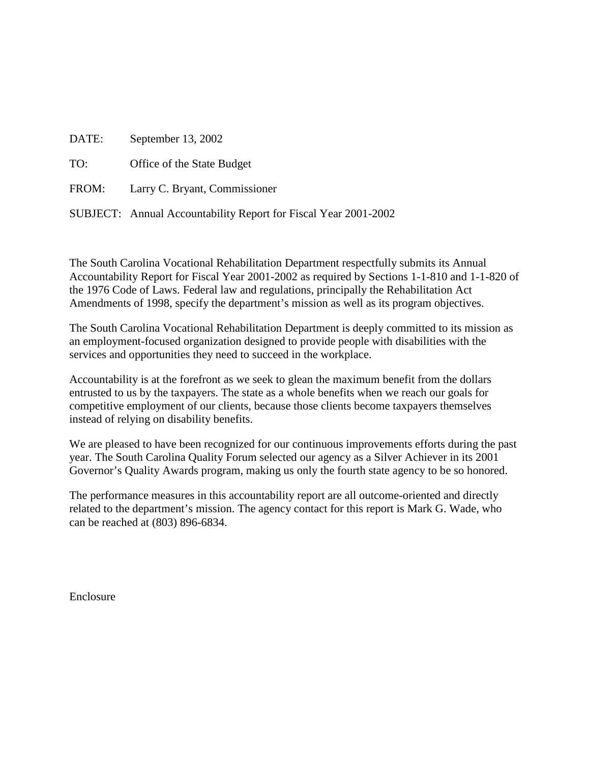| DATE: | September 13, 2002                                              |
|-------|-----------------------------------------------------------------|
| TO:   | Office of the State Budget                                      |
|       | FROM: Larry C. Bryant, Commissioner                             |
|       | SUBJECT: Annual Accountability Report for Fiscal Year 2001-2002 |

The South Carolina Vocational Rehabilitation Department respectfully submits its Annual Accountability Report for Fiscal Year 2001-2002 as required by Sections 1-1-810 and 1-1-820 of the 1976 Code of Laws. Federal law and regulations, principally the Rehabilitation Act Amendments of 1998, specify the department's mission as well as its program objectives.

The South Carolina Vocational Rehabilitation Department is deeply committed to its mission as an employment-focused organization designed to provide people with disabilities with the services and opportunities they need to succeed in the workplace.

Accountability is at the forefront as we seek to glean the maximum benefit from the dollars entrusted to us by the taxpayers. The state as a whole benefits when we reach our goals for competitive employment of our clients, because those clients become taxpayers themselves instead of relying on disability benefits.

We are pleased to have been recognized for our continuous improvements efforts during the past year. The South Carolina Quality Forum selected our agency as a Silver Achiever in its 2001 Governor's Quality Awards program, making us only the fourth state agency to be so honored.

The performance measures in this accountability report are all outcome-oriented and directly related to the department's mission. The agency contact for this report is Mark G. Wade, who can be reached at (803) 896-6834.

Enclosure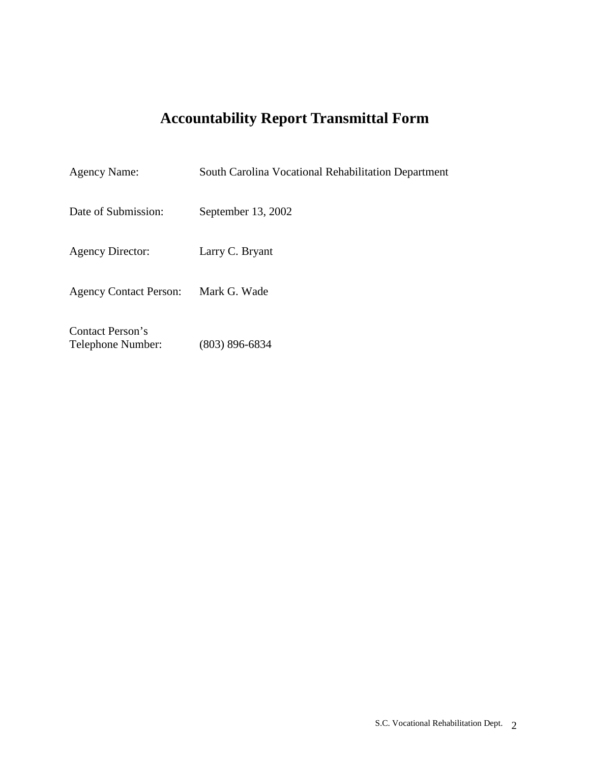# **Accountability Report Transmittal Form**

| <b>Agency Name:</b>                   | South Carolina Vocational Rehabilitation Department |
|---------------------------------------|-----------------------------------------------------|
| Date of Submission:                   | September 13, 2002                                  |
| <b>Agency Director:</b>               | Larry C. Bryant                                     |
| <b>Agency Contact Person:</b>         | Mark G. Wade                                        |
| Contact Person's<br>Telephone Number: | $(803) 896 - 6834$                                  |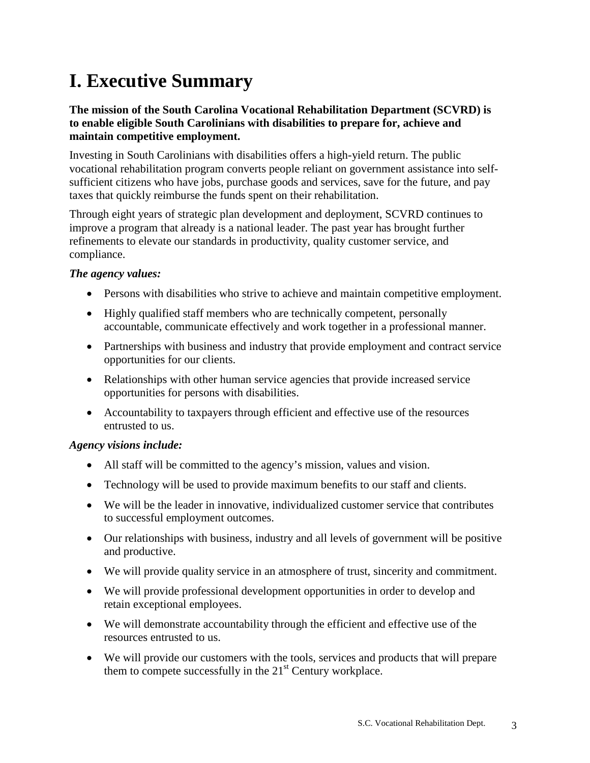# **I. Executive Summary**

# **The mission of the South Carolina Vocational Rehabilitation Department (SCVRD) is to enable eligible South Carolinians with disabilities to prepare for, achieve and maintain competitive employment.**

Investing in South Carolinians with disabilities offers a high-yield return. The public vocational rehabilitation program converts people reliant on government assistance into selfsufficient citizens who have jobs, purchase goods and services, save for the future, and pay taxes that quickly reimburse the funds spent on their rehabilitation.

Through eight years of strategic plan development and deployment, SCVRD continues to improve a program that already is a national leader. The past year has brought further refinements to elevate our standards in productivity, quality customer service, and compliance.

# *The agency values:*

- Persons with disabilities who strive to achieve and maintain competitive employment.
- Highly qualified staff members who are technically competent, personally accountable, communicate effectively and work together in a professional manner.
- Partnerships with business and industry that provide employment and contract service opportunities for our clients.
- Relationships with other human service agencies that provide increased service opportunities for persons with disabilities.
- Accountability to taxpayers through efficient and effective use of the resources entrusted to us.

# *Agency visions include:*

- All staff will be committed to the agency's mission, values and vision.
- Technology will be used to provide maximum benefits to our staff and clients.
- We will be the leader in innovative, individualized customer service that contributes to successful employment outcomes.
- Our relationships with business, industry and all levels of government will be positive and productive.
- We will provide quality service in an atmosphere of trust, sincerity and commitment.
- We will provide professional development opportunities in order to develop and retain exceptional employees.
- We will demonstrate accountability through the efficient and effective use of the resources entrusted to us.
- We will provide our customers with the tools, services and products that will prepare them to compete successfully in the  $21<sup>st</sup>$  Century workplace.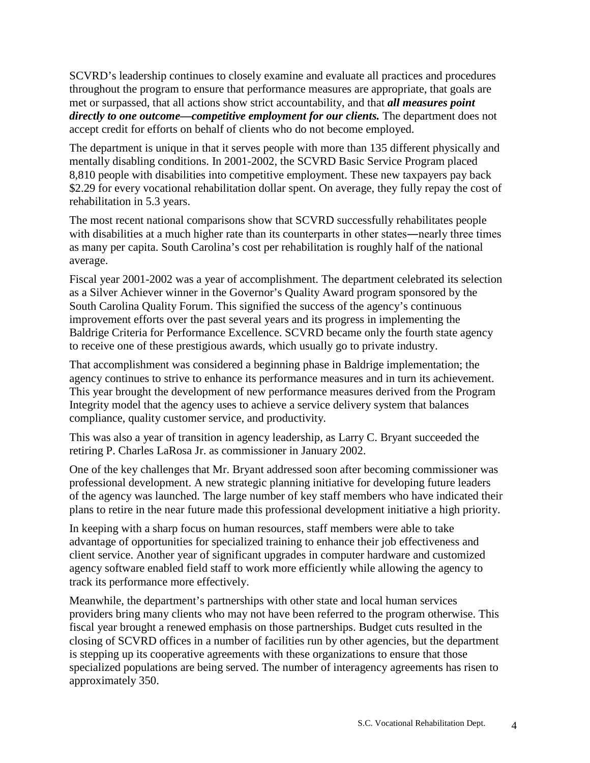SCVRD's leadership continues to closely examine and evaluate all practices and procedures throughout the program to ensure that performance measures are appropriate, that goals are met or surpassed, that all actions show strict accountability, and that *all measures point directly to one outcome—competitive employment for our clients.* The department does not accept credit for efforts on behalf of clients who do not become employed.

The department is unique in that it serves people with more than 135 different physically and mentally disabling conditions. In 2001-2002, the SCVRD Basic Service Program placed 8,810 people with disabilities into competitive employment. These new taxpayers pay back \$2.29 for every vocational rehabilitation dollar spent. On average, they fully repay the cost of rehabilitation in 5.3 years.

The most recent national comparisons show that SCVRD successfully rehabilitates people with disabilities at a much higher rate than its counterparts in other states—nearly three times as many per capita. South Carolina's cost per rehabilitation is roughly half of the national average.

Fiscal year 2001-2002 was a year of accomplishment. The department celebrated its selection as a Silver Achiever winner in the Governor's Quality Award program sponsored by the South Carolina Quality Forum. This signified the success of the agency's continuous improvement efforts over the past several years and its progress in implementing the Baldrige Criteria for Performance Excellence. SCVRD became only the fourth state agency to receive one of these prestigious awards, which usually go to private industry.

That accomplishment was considered a beginning phase in Baldrige implementation; the agency continues to strive to enhance its performance measures and in turn its achievement. This year brought the development of new performance measures derived from the Program Integrity model that the agency uses to achieve a service delivery system that balances compliance, quality customer service, and productivity.

This was also a year of transition in agency leadership, as Larry C. Bryant succeeded the retiring P. Charles LaRosa Jr. as commissioner in January 2002.

One of the key challenges that Mr. Bryant addressed soon after becoming commissioner was professional development. A new strategic planning initiative for developing future leaders of the agency was launched. The large number of key staff members who have indicated their plans to retire in the near future made this professional development initiative a high priority.

In keeping with a sharp focus on human resources, staff members were able to take advantage of opportunities for specialized training to enhance their job effectiveness and client service. Another year of significant upgrades in computer hardware and customized agency software enabled field staff to work more efficiently while allowing the agency to track its performance more effectively.

Meanwhile, the department's partnerships with other state and local human services providers bring many clients who may not have been referred to the program otherwise. This fiscal year brought a renewed emphasis on those partnerships. Budget cuts resulted in the closing of SCVRD offices in a number of facilities run by other agencies, but the department is stepping up its cooperative agreements with these organizations to ensure that those specialized populations are being served. The number of interagency agreements has risen to approximately 350.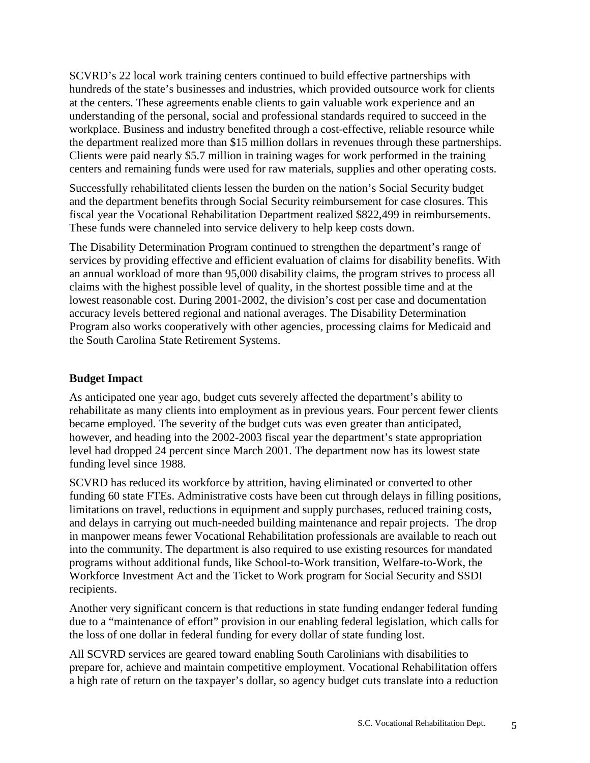SCVRD's 22 local work training centers continued to build effective partnerships with hundreds of the state's businesses and industries, which provided outsource work for clients at the centers. These agreements enable clients to gain valuable work experience and an understanding of the personal, social and professional standards required to succeed in the workplace. Business and industry benefited through a cost-effective, reliable resource while the department realized more than \$15 million dollars in revenues through these partnerships. Clients were paid nearly \$5.7 million in training wages for work performed in the training centers and remaining funds were used for raw materials, supplies and other operating costs.

Successfully rehabilitated clients lessen the burden on the nation's Social Security budget and the department benefits through Social Security reimbursement for case closures. This fiscal year the Vocational Rehabilitation Department realized \$822,499 in reimbursements. These funds were channeled into service delivery to help keep costs down.

The Disability Determination Program continued to strengthen the department's range of services by providing effective and efficient evaluation of claims for disability benefits. With an annual workload of more than 95,000 disability claims, the program strives to process all claims with the highest possible level of quality, in the shortest possible time and at the lowest reasonable cost. During 2001-2002, the division's cost per case and documentation accuracy levels bettered regional and national averages. The Disability Determination Program also works cooperatively with other agencies, processing claims for Medicaid and the South Carolina State Retirement Systems.

#### **Budget Impact**

As anticipated one year ago, budget cuts severely affected the department's ability to rehabilitate as many clients into employment as in previous years. Four percent fewer clients became employed. The severity of the budget cuts was even greater than anticipated, however, and heading into the 2002-2003 fiscal year the department's state appropriation level had dropped 24 percent since March 2001. The department now has its lowest state funding level since 1988.

SCVRD has reduced its workforce by attrition, having eliminated or converted to other funding 60 state FTEs. Administrative costs have been cut through delays in filling positions, limitations on travel, reductions in equipment and supply purchases, reduced training costs, and delays in carrying out much-needed building maintenance and repair projects. The drop in manpower means fewer Vocational Rehabilitation professionals are available to reach out into the community. The department is also required to use existing resources for mandated programs without additional funds, like School-to-Work transition, Welfare-to-Work, the Workforce Investment Act and the Ticket to Work program for Social Security and SSDI recipients.

Another very significant concern is that reductions in state funding endanger federal funding due to a "maintenance of effort" provision in our enabling federal legislation, which calls for the loss of one dollar in federal funding for every dollar of state funding lost.

All SCVRD services are geared toward enabling South Carolinians with disabilities to prepare for, achieve and maintain competitive employment. Vocational Rehabilitation offers a high rate of return on the taxpayer's dollar, so agency budget cuts translate into a reduction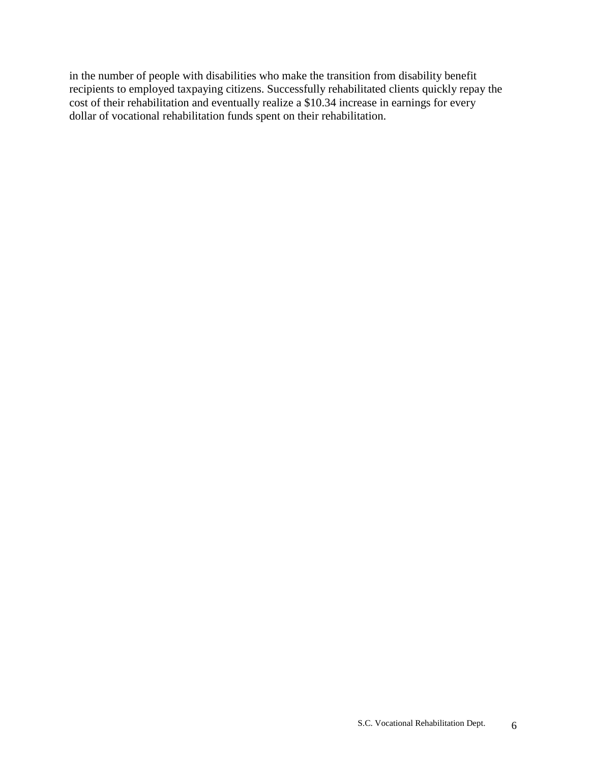in the number of people with disabilities who make the transition from disability benefit recipients to employed taxpaying citizens. Successfully rehabilitated clients quickly repay the cost of their rehabilitation and eventually realize a \$10.34 increase in earnings for every dollar of vocational rehabilitation funds spent on their rehabilitation.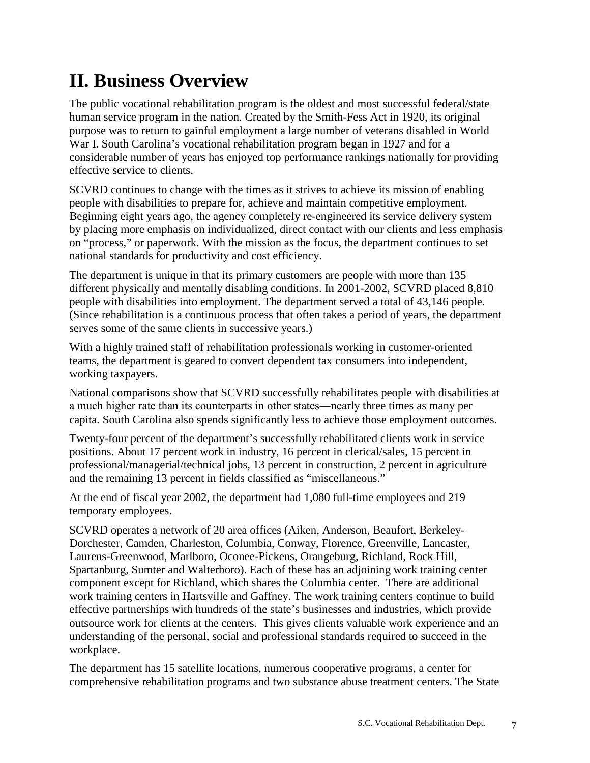# **II. Business Overview**

The public vocational rehabilitation program is the oldest and most successful federal/state human service program in the nation. Created by the Smith-Fess Act in 1920, its original purpose was to return to gainful employment a large number of veterans disabled in World War I. South Carolina's vocational rehabilitation program began in 1927 and for a considerable number of years has enjoyed top performance rankings nationally for providing effective service to clients.

SCVRD continues to change with the times as it strives to achieve its mission of enabling people with disabilities to prepare for, achieve and maintain competitive employment. Beginning eight years ago, the agency completely re-engineered its service delivery system by placing more emphasis on individualized, direct contact with our clients and less emphasis on "process," or paperwork. With the mission as the focus, the department continues to set national standards for productivity and cost efficiency.

The department is unique in that its primary customers are people with more than 135 different physically and mentally disabling conditions. In 2001-2002, SCVRD placed 8,810 people with disabilities into employment. The department served a total of 43,146 people. (Since rehabilitation is a continuous process that often takes a period of years, the department serves some of the same clients in successive years.)

With a highly trained staff of rehabilitation professionals working in customer-oriented teams, the department is geared to convert dependent tax consumers into independent, working taxpayers.

National comparisons show that SCVRD successfully rehabilitates people with disabilities at a much higher rate than its counterparts in other states―nearly three times as many per capita. South Carolina also spends significantly less to achieve those employment outcomes.

Twenty-four percent of the department's successfully rehabilitated clients work in service positions. About 17 percent work in industry, 16 percent in clerical/sales, 15 percent in professional/managerial/technical jobs, 13 percent in construction, 2 percent in agriculture and the remaining 13 percent in fields classified as "miscellaneous."

At the end of fiscal year 2002, the department had 1,080 full-time employees and 219 temporary employees.

SCVRD operates a network of 20 area offices (Aiken, Anderson, Beaufort, Berkeley-Dorchester, Camden, Charleston, Columbia, Conway, Florence, Greenville, Lancaster, Laurens-Greenwood, Marlboro, Oconee-Pickens, Orangeburg, Richland, Rock Hill, Spartanburg, Sumter and Walterboro). Each of these has an adjoining work training center component except for Richland, which shares the Columbia center. There are additional work training centers in Hartsville and Gaffney. The work training centers continue to build effective partnerships with hundreds of the state's businesses and industries, which provide outsource work for clients at the centers. This gives clients valuable work experience and an understanding of the personal, social and professional standards required to succeed in the workplace.

The department has 15 satellite locations, numerous cooperative programs, a center for comprehensive rehabilitation programs and two substance abuse treatment centers. The State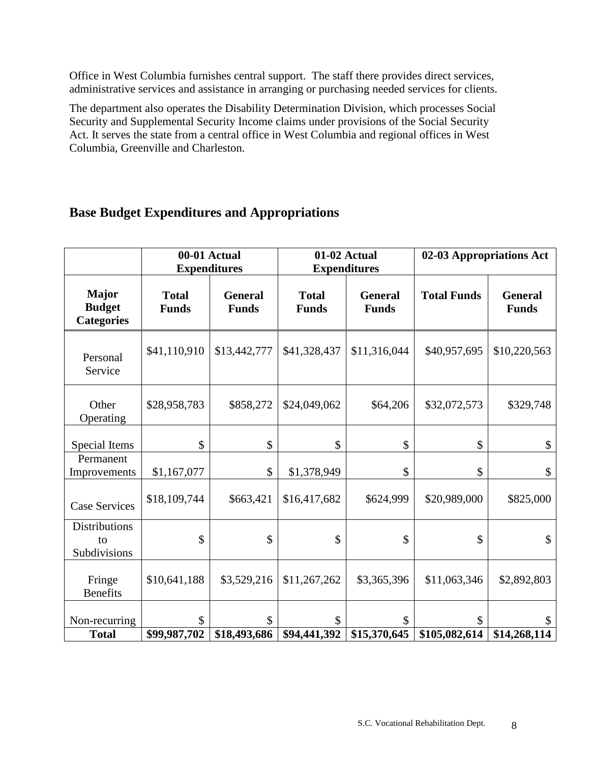Office in West Columbia furnishes central support. The staff there provides direct services, administrative services and assistance in arranging or purchasing needed services for clients.

The department also operates the Disability Determination Division, which processes Social Security and Supplemental Security Income claims under provisions of the Social Security Act. It serves the state from a central office in West Columbia and regional offices in West Columbia, Greenville and Charleston.

# **Base Budget Expenditures and Appropriations**

|                                                    |                              | 00-01 Actual<br><b>Expenditures</b> | 01-02 Actual<br><b>Expenditures</b> |                                | 02-03 Appropriations Act            |                                |
|----------------------------------------------------|------------------------------|-------------------------------------|-------------------------------------|--------------------------------|-------------------------------------|--------------------------------|
| <b>Major</b><br><b>Budget</b><br><b>Categories</b> | <b>Total</b><br><b>Funds</b> | <b>General</b><br><b>Funds</b>      | <b>Total</b><br><b>Funds</b>        | <b>General</b><br><b>Funds</b> | <b>Total Funds</b>                  | <b>General</b><br><b>Funds</b> |
| Personal<br>Service                                | \$41,110,910                 | \$13,442,777                        | \$41,328,437                        | \$11,316,044                   | \$40,957,695                        | \$10,220,563                   |
| Other<br>Operating                                 | \$28,958,783                 | \$858,272                           | \$24,049,062                        | \$64,206                       | \$32,072,573                        | \$329,748                      |
| Special Items                                      | \$                           | \$                                  | \$                                  | \$                             | \$                                  | \$                             |
| Permanent<br>Improvements                          | \$1,167,077                  | \$                                  | \$1,378,949                         | \$                             | \$                                  | \$                             |
| <b>Case Services</b>                               | \$18,109,744                 | \$663,421                           | \$16,417,682                        | \$624,999                      | \$20,989,000                        | \$825,000                      |
| <b>Distributions</b><br>to<br>Subdivisions         | \$                           | \$                                  | \$                                  | \$                             | \$                                  | \$                             |
| Fringe<br><b>Benefits</b>                          | \$10,641,188                 | \$3,529,216                         | \$11,267,262                        | \$3,365,396                    | \$11,063,346                        | \$2,892,803                    |
| Non-recurring<br><b>Total</b>                      | \$<br>\$99,987,702           | \$<br>\$18,493,686                  | \$<br>\$94,441,392                  | \$<br>\$15,370,645             | $\mathbf{\hat{S}}$<br>\$105,082,614 | \$<br>\$14,268,114             |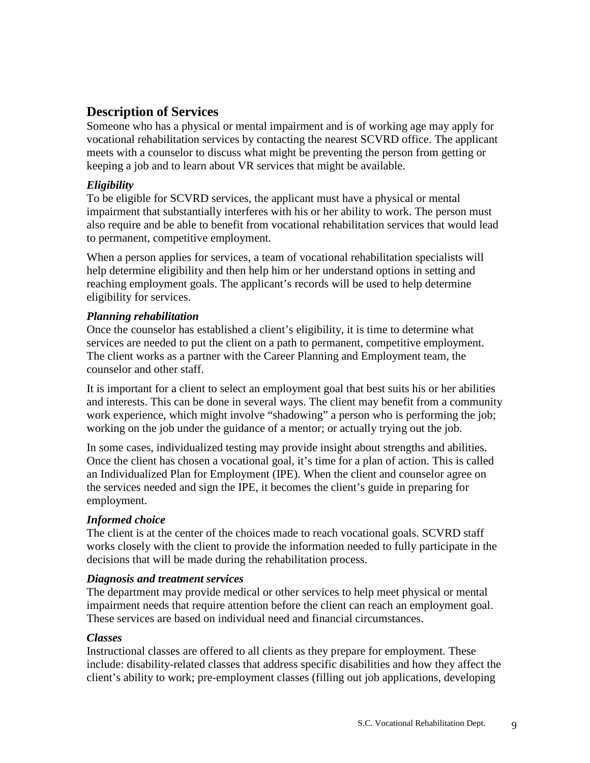# **Description of Services**

Someone who has a physical or mental impairment and is of working age may apply for vocational rehabilitation services by contacting the nearest SCVRD office. The applicant meets with a counselor to discuss what might be preventing the person from getting or keeping a job and to learn about VR services that might be available.

# *Eligibility*

To be eligible for SCVRD services, the applicant must have a physical or mental impairment that substantially interferes with his or her ability to work. The person must also require and be able to benefit from vocational rehabilitation services that would lead to permanent, competitive employment.

When a person applies for services, a team of vocational rehabilitation specialists will help determine eligibility and then help him or her understand options in setting and reaching employment goals. The applicant's records will be used to help determine eligibility for services.

# *Planning rehabilitation*

Once the counselor has established a client's eligibility, it is time to determine what services are needed to put the client on a path to permanent, competitive employment. The client works as a partner with the Career Planning and Employment team, the counselor and other staff.

It is important for a client to select an employment goal that best suits his or her abilities and interests. This can be done in several ways. The client may benefit from a community work experience, which might involve "shadowing" a person who is performing the job; working on the job under the guidance of a mentor; or actually trying out the job.

In some cases, individualized testing may provide insight about strengths and abilities. Once the client has chosen a vocational goal, it's time for a plan of action. This is called an Individualized Plan for Employment (IPE). When the client and counselor agree on the services needed and sign the IPE, it becomes the client's guide in preparing for employment.

# *Informed choice*

The client is at the center of the choices made to reach vocational goals. SCVRD staff works closely with the client to provide the information needed to fully participate in the decisions that will be made during the rehabilitation process.

# *Diagnosis and treatment services*

The department may provide medical or other services to help meet physical or mental impairment needs that require attention before the client can reach an employment goal. These services are based on individual need and financial circumstances.

# *Classes*

Instructional classes are offered to all clients as they prepare for employment. These include: disability-related classes that address specific disabilities and how they affect the client's ability to work; pre-employment classes (filling out job applications, developing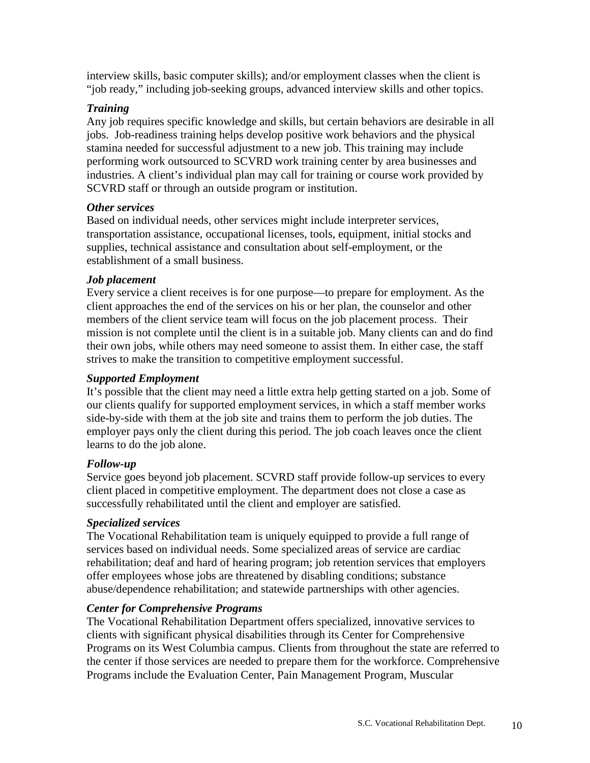interview skills, basic computer skills); and/or employment classes when the client is "job ready," including job-seeking groups, advanced interview skills and other topics.

# *Training*

Any job requires specific knowledge and skills, but certain behaviors are desirable in all jobs. Job-readiness training helps develop positive work behaviors and the physical stamina needed for successful adjustment to a new job. This training may include performing work outsourced to SCVRD work training center by area businesses and industries. A client's individual plan may call for training or course work provided by SCVRD staff or through an outside program or institution.

#### *Other services*

Based on individual needs, other services might include interpreter services, transportation assistance, occupational licenses, tools, equipment, initial stocks and supplies, technical assistance and consultation about self-employment, or the establishment of a small business.

#### *Job placement*

Every service a client receives is for one purpose—to prepare for employment. As the client approaches the end of the services on his or her plan, the counselor and other members of the client service team will focus on the job placement process. Their mission is not complete until the client is in a suitable job. Many clients can and do find their own jobs, while others may need someone to assist them. In either case, the staff strives to make the transition to competitive employment successful.

#### *Supported Employment*

It's possible that the client may need a little extra help getting started on a job. Some of our clients qualify for supported employment services, in which a staff member works side-by-side with them at the job site and trains them to perform the job duties. The employer pays only the client during this period. The job coach leaves once the client learns to do the job alone.

# *Follow-up*

Service goes beyond job placement. SCVRD staff provide follow-up services to every client placed in competitive employment. The department does not close a case as successfully rehabilitated until the client and employer are satisfied.

# *Specialized services*

The Vocational Rehabilitation team is uniquely equipped to provide a full range of services based on individual needs. Some specialized areas of service are cardiac rehabilitation; deaf and hard of hearing program; job retention services that employers offer employees whose jobs are threatened by disabling conditions; substance abuse/dependence rehabilitation; and statewide partnerships with other agencies.

# *Center for Comprehensive Programs*

The Vocational Rehabilitation Department offers specialized, innovative services to clients with significant physical disabilities through its Center for Comprehensive Programs on its West Columbia campus. Clients from throughout the state are referred to the center if those services are needed to prepare them for the workforce. Comprehensive Programs include the Evaluation Center, Pain Management Program, Muscular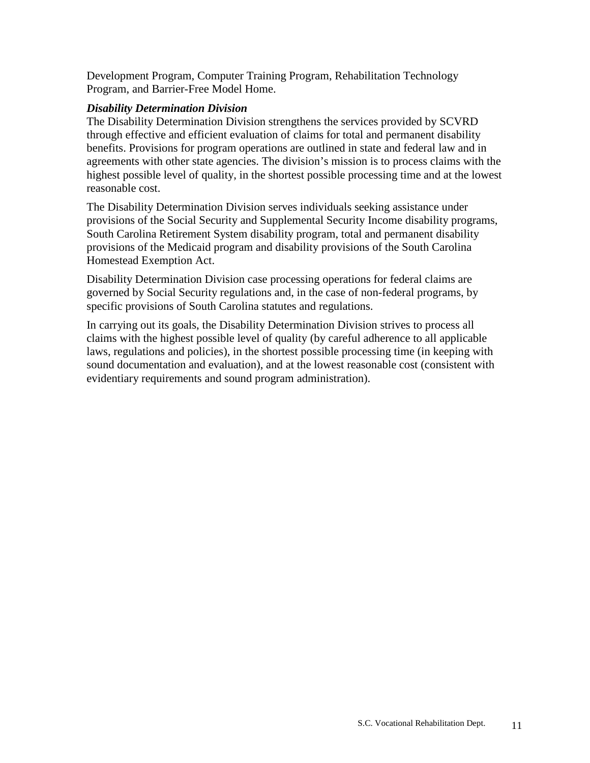Development Program, Computer Training Program, Rehabilitation Technology Program, and Barrier-Free Model Home.

#### *Disability Determination Division*

The Disability Determination Division strengthens the services provided by SCVRD through effective and efficient evaluation of claims for total and permanent disability benefits. Provisions for program operations are outlined in state and federal law and in agreements with other state agencies. The division's mission is to process claims with the highest possible level of quality, in the shortest possible processing time and at the lowest reasonable cost.

The Disability Determination Division serves individuals seeking assistance under provisions of the Social Security and Supplemental Security Income disability programs, South Carolina Retirement System disability program, total and permanent disability provisions of the Medicaid program and disability provisions of the South Carolina Homestead Exemption Act.

Disability Determination Division case processing operations for federal claims are governed by Social Security regulations and, in the case of non-federal programs, by specific provisions of South Carolina statutes and regulations.

In carrying out its goals, the Disability Determination Division strives to process all claims with the highest possible level of quality (by careful adherence to all applicable laws, regulations and policies), in the shortest possible processing time (in keeping with sound documentation and evaluation), and at the lowest reasonable cost (consistent with evidentiary requirements and sound program administration).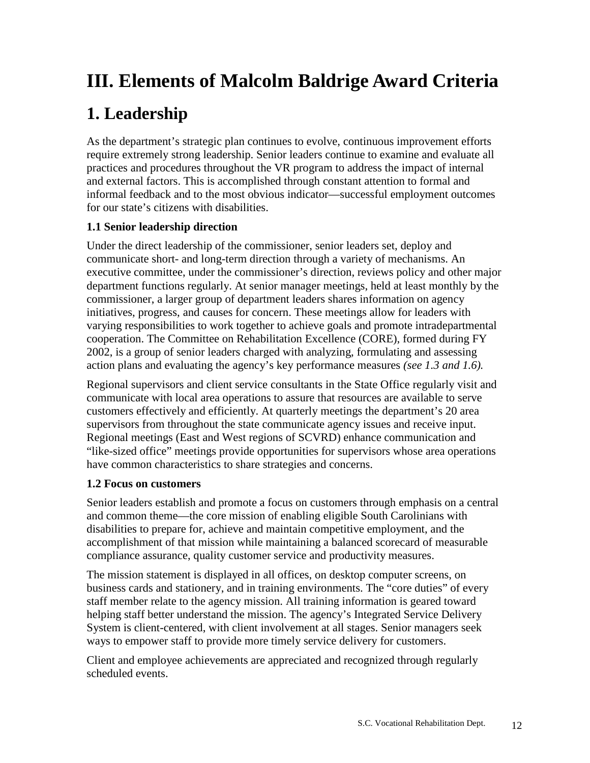# **III. Elements of Malcolm Baldrige Award Criteria**

# **1. Leadership**

As the department's strategic plan continues to evolve, continuous improvement efforts require extremely strong leadership. Senior leaders continue to examine and evaluate all practices and procedures throughout the VR program to address the impact of internal and external factors. This is accomplished through constant attention to formal and informal feedback and to the most obvious indicator—successful employment outcomes for our state's citizens with disabilities.

# **1.1 Senior leadership direction**

Under the direct leadership of the commissioner, senior leaders set, deploy and communicate short- and long-term direction through a variety of mechanisms. An executive committee, under the commissioner's direction, reviews policy and other major department functions regularly. At senior manager meetings, held at least monthly by the commissioner, a larger group of department leaders shares information on agency initiatives, progress, and causes for concern. These meetings allow for leaders with varying responsibilities to work together to achieve goals and promote intradepartmental cooperation. The Committee on Rehabilitation Excellence (CORE), formed during FY 2002, is a group of senior leaders charged with analyzing, formulating and assessing action plans and evaluating the agency's key performance measures *(see 1.3 and 1.6).*

Regional supervisors and client service consultants in the State Office regularly visit and communicate with local area operations to assure that resources are available to serve customers effectively and efficiently. At quarterly meetings the department's 20 area supervisors from throughout the state communicate agency issues and receive input. Regional meetings (East and West regions of SCVRD) enhance communication and "like-sized office" meetings provide opportunities for supervisors whose area operations have common characteristics to share strategies and concerns.

# **1.2 Focus on customers**

Senior leaders establish and promote a focus on customers through emphasis on a central and common theme—the core mission of enabling eligible South Carolinians with disabilities to prepare for, achieve and maintain competitive employment, and the accomplishment of that mission while maintaining a balanced scorecard of measurable compliance assurance, quality customer service and productivity measures.

The mission statement is displayed in all offices, on desktop computer screens, on business cards and stationery, and in training environments. The "core duties" of every staff member relate to the agency mission. All training information is geared toward helping staff better understand the mission. The agency's Integrated Service Delivery System is client-centered, with client involvement at all stages. Senior managers seek ways to empower staff to provide more timely service delivery for customers.

Client and employee achievements are appreciated and recognized through regularly scheduled events.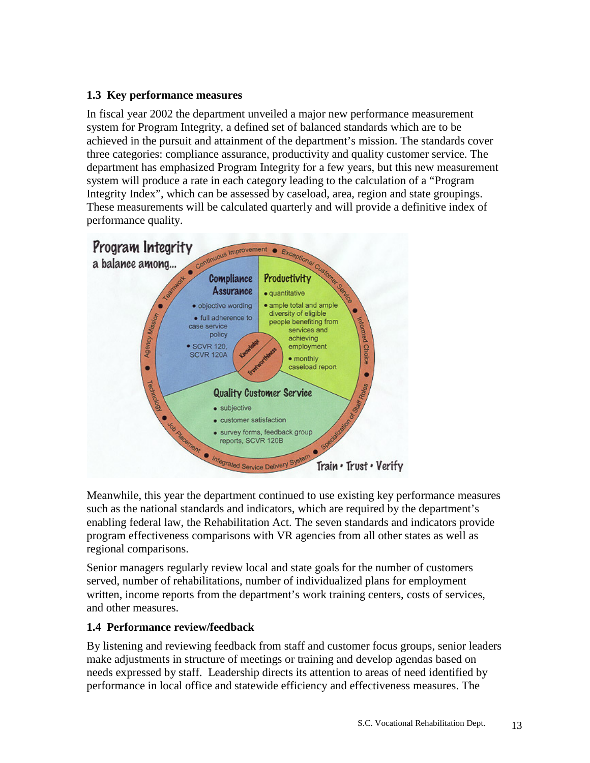# **1.3 Key performance measures**

In fiscal year 2002 the department unveiled a major new performance measurement system for Program Integrity, a defined set of balanced standards which are to be achieved in the pursuit and attainment of the department's mission. The standards cover three categories: compliance assurance, productivity and quality customer service. The department has emphasized Program Integrity for a few years, but this new measurement system will produce a rate in each category leading to the calculation of a "Program Integrity Index", which can be assessed by caseload, area, region and state groupings. These measurements will be calculated quarterly and will provide a definitive index of performance quality.



Meanwhile, this year the department continued to use existing key performance measures such as the national standards and indicators, which are required by the department's enabling federal law, the Rehabilitation Act. The seven standards and indicators provide program effectiveness comparisons with VR agencies from all other states as well as regional comparisons.

Senior managers regularly review local and state goals for the number of customers served, number of rehabilitations, number of individualized plans for employment written, income reports from the department's work training centers, costs of services, and other measures.

# **1.4 Performance review/feedback**

By listening and reviewing feedback from staff and customer focus groups, senior leaders make adjustments in structure of meetings or training and develop agendas based on needs expressed by staff. Leadership directs its attention to areas of need identified by performance in local office and statewide efficiency and effectiveness measures. The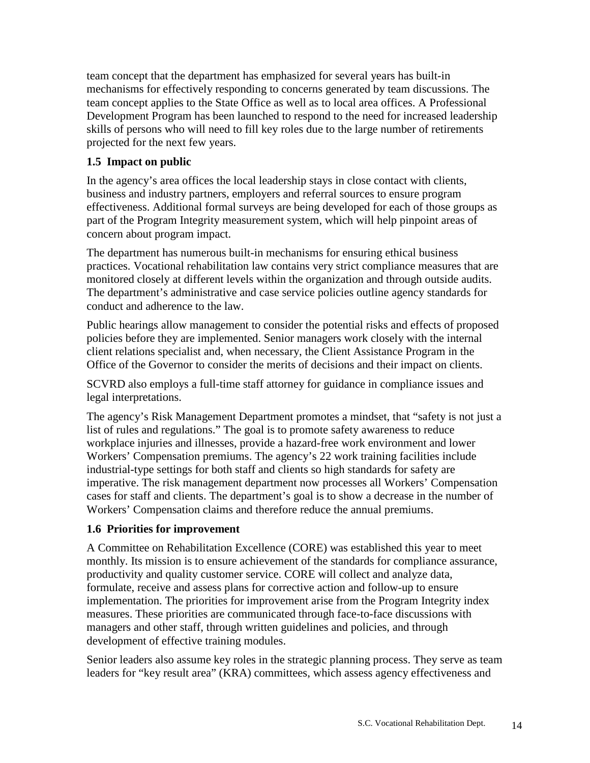team concept that the department has emphasized for several years has built-in mechanisms for effectively responding to concerns generated by team discussions. The team concept applies to the State Office as well as to local area offices. A Professional Development Program has been launched to respond to the need for increased leadership skills of persons who will need to fill key roles due to the large number of retirements projected for the next few years.

# **1.5 Impact on public**

In the agency's area offices the local leadership stays in close contact with clients, business and industry partners, employers and referral sources to ensure program effectiveness. Additional formal surveys are being developed for each of those groups as part of the Program Integrity measurement system, which will help pinpoint areas of concern about program impact.

The department has numerous built-in mechanisms for ensuring ethical business practices. Vocational rehabilitation law contains very strict compliance measures that are monitored closely at different levels within the organization and through outside audits. The department's administrative and case service policies outline agency standards for conduct and adherence to the law.

Public hearings allow management to consider the potential risks and effects of proposed policies before they are implemented. Senior managers work closely with the internal client relations specialist and, when necessary, the Client Assistance Program in the Office of the Governor to consider the merits of decisions and their impact on clients.

SCVRD also employs a full-time staff attorney for guidance in compliance issues and legal interpretations.

The agency's Risk Management Department promotes a mindset, that "safety is not just a list of rules and regulations." The goal is to promote safety awareness to reduce workplace injuries and illnesses, provide a hazard-free work environment and lower Workers' Compensation premiums. The agency's 22 work training facilities include industrial-type settings for both staff and clients so high standards for safety are imperative. The risk management department now processes all Workers' Compensation cases for staff and clients. The department's goal is to show a decrease in the number of Workers' Compensation claims and therefore reduce the annual premiums.

# **1.6 Priorities for improvement**

A Committee on Rehabilitation Excellence (CORE) was established this year to meet monthly. Its mission is to ensure achievement of the standards for compliance assurance, productivity and quality customer service. CORE will collect and analyze data, formulate, receive and assess plans for corrective action and follow-up to ensure implementation. The priorities for improvement arise from the Program Integrity index measures. These priorities are communicated through face-to-face discussions with managers and other staff, through written guidelines and policies, and through development of effective training modules.

Senior leaders also assume key roles in the strategic planning process. They serve as team leaders for "key result area" (KRA) committees, which assess agency effectiveness and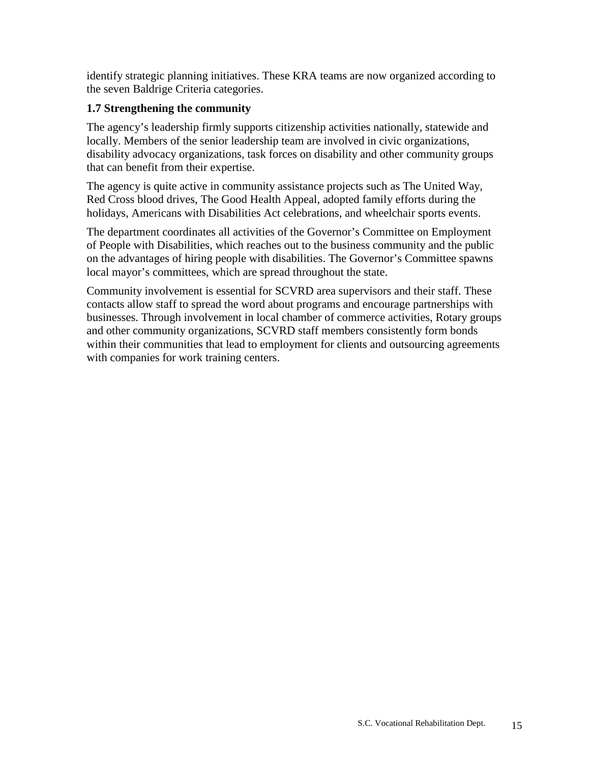identify strategic planning initiatives. These KRA teams are now organized according to the seven Baldrige Criteria categories.

# **1.7 Strengthening the community**

The agency's leadership firmly supports citizenship activities nationally, statewide and locally. Members of the senior leadership team are involved in civic organizations, disability advocacy organizations, task forces on disability and other community groups that can benefit from their expertise.

The agency is quite active in community assistance projects such as The United Way, Red Cross blood drives, The Good Health Appeal, adopted family efforts during the holidays, Americans with Disabilities Act celebrations, and wheelchair sports events.

The department coordinates all activities of the Governor's Committee on Employment of People with Disabilities, which reaches out to the business community and the public on the advantages of hiring people with disabilities. The Governor's Committee spawns local mayor's committees, which are spread throughout the state.

Community involvement is essential for SCVRD area supervisors and their staff. These contacts allow staff to spread the word about programs and encourage partnerships with businesses. Through involvement in local chamber of commerce activities, Rotary groups and other community organizations, SCVRD staff members consistently form bonds within their communities that lead to employment for clients and outsourcing agreements with companies for work training centers.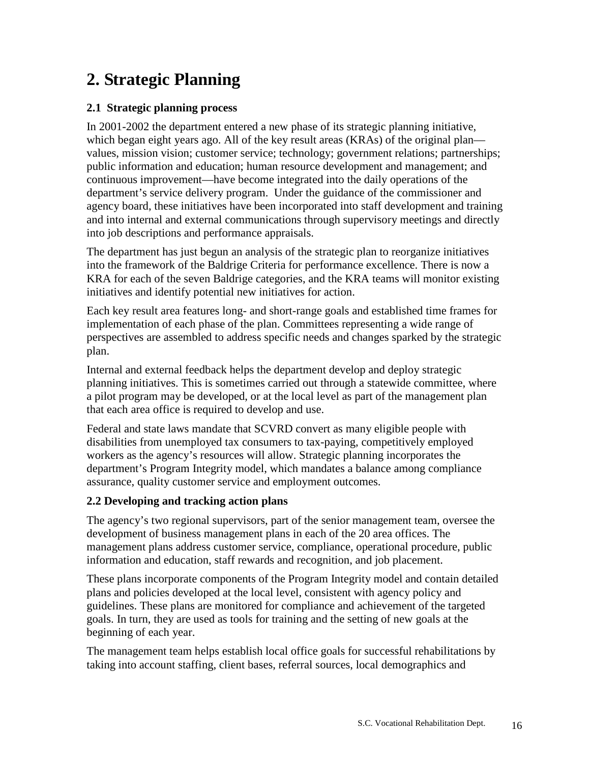# **2. Strategic Planning**

# **2.1 Strategic planning process**

In 2001-2002 the department entered a new phase of its strategic planning initiative, which began eight years ago. All of the key result areas (KRAs) of the original plan values, mission vision; customer service; technology; government relations; partnerships; public information and education; human resource development and management; and continuous improvement—have become integrated into the daily operations of the department's service delivery program. Under the guidance of the commissioner and agency board, these initiatives have been incorporated into staff development and training and into internal and external communications through supervisory meetings and directly into job descriptions and performance appraisals.

The department has just begun an analysis of the strategic plan to reorganize initiatives into the framework of the Baldrige Criteria for performance excellence. There is now a KRA for each of the seven Baldrige categories, and the KRA teams will monitor existing initiatives and identify potential new initiatives for action.

Each key result area features long- and short-range goals and established time frames for implementation of each phase of the plan. Committees representing a wide range of perspectives are assembled to address specific needs and changes sparked by the strategic plan.

Internal and external feedback helps the department develop and deploy strategic planning initiatives. This is sometimes carried out through a statewide committee, where a pilot program may be developed, or at the local level as part of the management plan that each area office is required to develop and use.

Federal and state laws mandate that SCVRD convert as many eligible people with disabilities from unemployed tax consumers to tax-paying, competitively employed workers as the agency's resources will allow. Strategic planning incorporates the department's Program Integrity model, which mandates a balance among compliance assurance, quality customer service and employment outcomes.

# **2.2 Developing and tracking action plans**

The agency's two regional supervisors, part of the senior management team, oversee the development of business management plans in each of the 20 area offices. The management plans address customer service, compliance, operational procedure, public information and education, staff rewards and recognition, and job placement.

These plans incorporate components of the Program Integrity model and contain detailed plans and policies developed at the local level, consistent with agency policy and guidelines. These plans are monitored for compliance and achievement of the targeted goals. In turn, they are used as tools for training and the setting of new goals at the beginning of each year.

The management team helps establish local office goals for successful rehabilitations by taking into account staffing, client bases, referral sources, local demographics and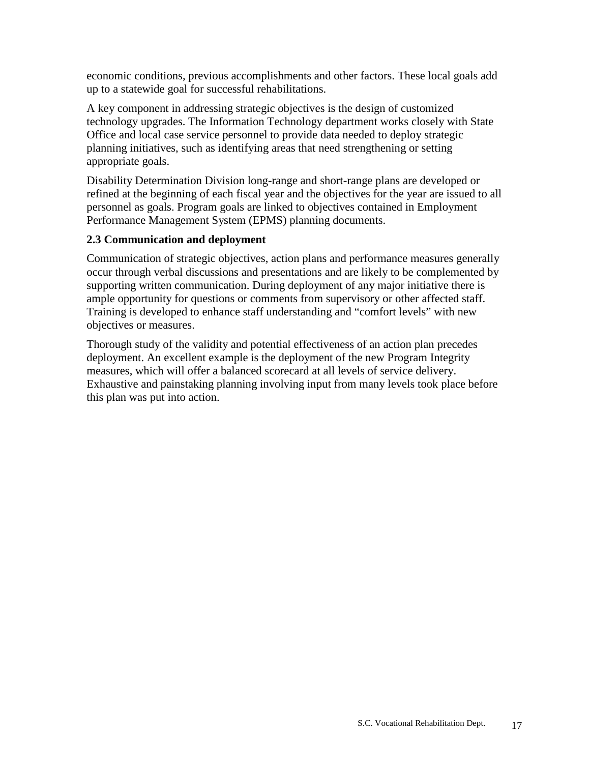economic conditions, previous accomplishments and other factors. These local goals add up to a statewide goal for successful rehabilitations.

A key component in addressing strategic objectives is the design of customized technology upgrades. The Information Technology department works closely with State Office and local case service personnel to provide data needed to deploy strategic planning initiatives, such as identifying areas that need strengthening or setting appropriate goals.

Disability Determination Division long-range and short-range plans are developed or refined at the beginning of each fiscal year and the objectives for the year are issued to all personnel as goals. Program goals are linked to objectives contained in Employment Performance Management System (EPMS) planning documents.

# **2.3 Communication and deployment**

Communication of strategic objectives, action plans and performance measures generally occur through verbal discussions and presentations and are likely to be complemented by supporting written communication. During deployment of any major initiative there is ample opportunity for questions or comments from supervisory or other affected staff. Training is developed to enhance staff understanding and "comfort levels" with new objectives or measures.

Thorough study of the validity and potential effectiveness of an action plan precedes deployment. An excellent example is the deployment of the new Program Integrity measures, which will offer a balanced scorecard at all levels of service delivery. Exhaustive and painstaking planning involving input from many levels took place before this plan was put into action.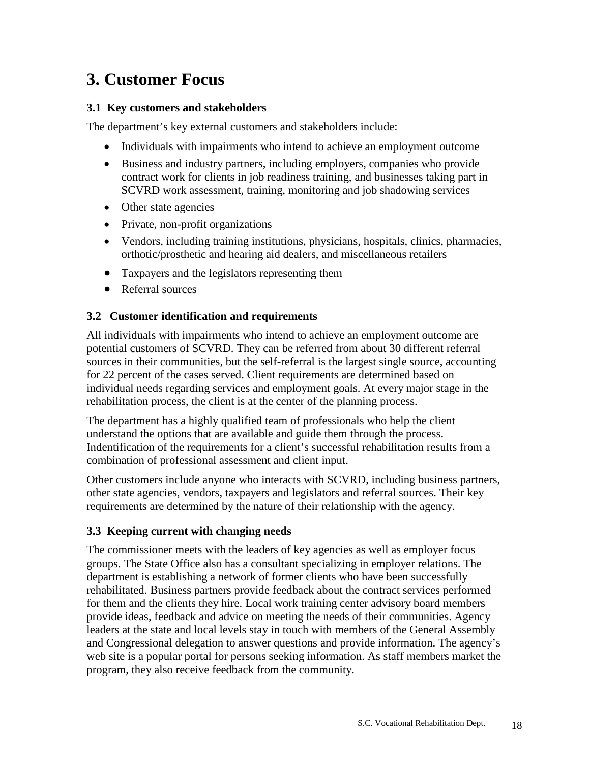# **3. Customer Focus**

# **3.1 Key customers and stakeholders**

The department's key external customers and stakeholders include:

- Individuals with impairments who intend to achieve an employment outcome
- Business and industry partners, including employers, companies who provide contract work for clients in job readiness training, and businesses taking part in SCVRD work assessment, training, monitoring and job shadowing services
- Other state agencies
- Private, non-profit organizations
- Vendors, including training institutions, physicians, hospitals, clinics, pharmacies, orthotic/prosthetic and hearing aid dealers, and miscellaneous retailers
- Taxpayers and the legislators representing them
- Referral sources

#### **3.2 Customer identification and requirements**

All individuals with impairments who intend to achieve an employment outcome are potential customers of SCVRD. They can be referred from about 30 different referral sources in their communities, but the self-referral is the largest single source, accounting for 22 percent of the cases served. Client requirements are determined based on individual needs regarding services and employment goals. At every major stage in the rehabilitation process, the client is at the center of the planning process.

The department has a highly qualified team of professionals who help the client understand the options that are available and guide them through the process. Indentification of the requirements for a client's successful rehabilitation results from a combination of professional assessment and client input.

Other customers include anyone who interacts with SCVRD, including business partners, other state agencies, vendors, taxpayers and legislators and referral sources. Their key requirements are determined by the nature of their relationship with the agency.

# **3.3 Keeping current with changing needs**

The commissioner meets with the leaders of key agencies as well as employer focus groups. The State Office also has a consultant specializing in employer relations. The department is establishing a network of former clients who have been successfully rehabilitated. Business partners provide feedback about the contract services performed for them and the clients they hire. Local work training center advisory board members provide ideas, feedback and advice on meeting the needs of their communities. Agency leaders at the state and local levels stay in touch with members of the General Assembly and Congressional delegation to answer questions and provide information. The agency's web site is a popular portal for persons seeking information. As staff members market the program, they also receive feedback from the community.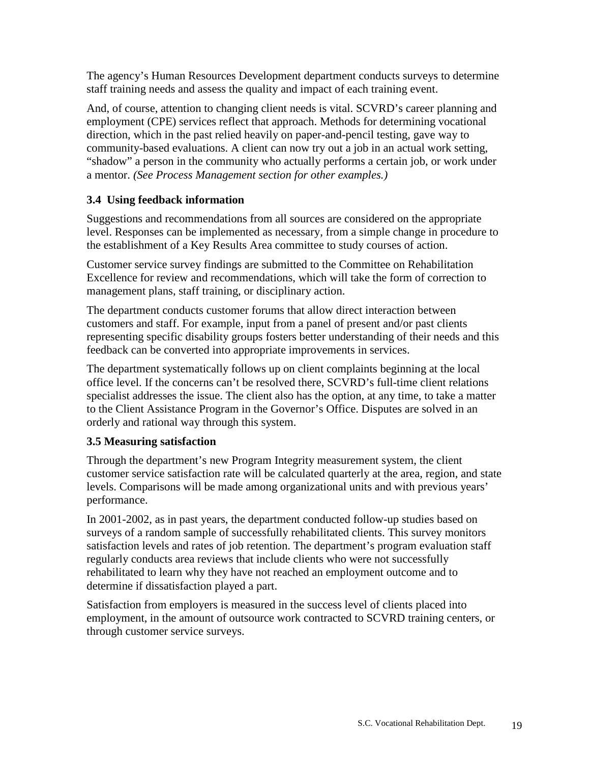The agency's Human Resources Development department conducts surveys to determine staff training needs and assess the quality and impact of each training event.

And, of course, attention to changing client needs is vital. SCVRD's career planning and employment (CPE) services reflect that approach. Methods for determining vocational direction, which in the past relied heavily on paper-and-pencil testing, gave way to community-based evaluations. A client can now try out a job in an actual work setting, "shadow" a person in the community who actually performs a certain job, or work under a mentor. *(See Process Management section for other examples.)*

# **3.4 Using feedback information**

Suggestions and recommendations from all sources are considered on the appropriate level. Responses can be implemented as necessary, from a simple change in procedure to the establishment of a Key Results Area committee to study courses of action.

Customer service survey findings are submitted to the Committee on Rehabilitation Excellence for review and recommendations, which will take the form of correction to management plans, staff training, or disciplinary action.

The department conducts customer forums that allow direct interaction between customers and staff. For example, input from a panel of present and/or past clients representing specific disability groups fosters better understanding of their needs and this feedback can be converted into appropriate improvements in services.

The department systematically follows up on client complaints beginning at the local office level. If the concerns can't be resolved there, SCVRD's full-time client relations specialist addresses the issue. The client also has the option, at any time, to take a matter to the Client Assistance Program in the Governor's Office. Disputes are solved in an orderly and rational way through this system.

# **3.5 Measuring satisfaction**

Through the department's new Program Integrity measurement system, the client customer service satisfaction rate will be calculated quarterly at the area, region, and state levels. Comparisons will be made among organizational units and with previous years' performance.

In 2001-2002, as in past years, the department conducted follow-up studies based on surveys of a random sample of successfully rehabilitated clients. This survey monitors satisfaction levels and rates of job retention. The department's program evaluation staff regularly conducts area reviews that include clients who were not successfully rehabilitated to learn why they have not reached an employment outcome and to determine if dissatisfaction played a part.

Satisfaction from employers is measured in the success level of clients placed into employment, in the amount of outsource work contracted to SCVRD training centers, or through customer service surveys.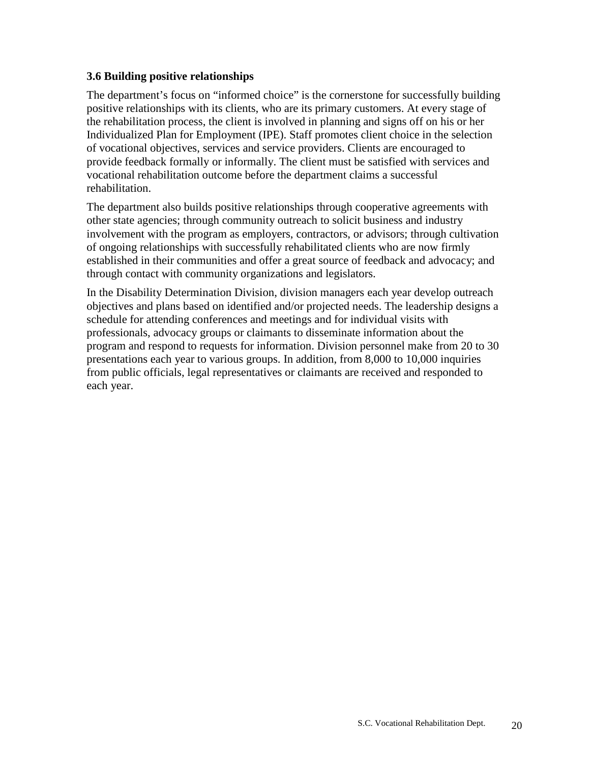#### **3.6 Building positive relationships**

The department's focus on "informed choice" is the cornerstone for successfully building positive relationships with its clients, who are its primary customers. At every stage of the rehabilitation process, the client is involved in planning and signs off on his or her Individualized Plan for Employment (IPE). Staff promotes client choice in the selection of vocational objectives, services and service providers. Clients are encouraged to provide feedback formally or informally. The client must be satisfied with services and vocational rehabilitation outcome before the department claims a successful rehabilitation.

The department also builds positive relationships through cooperative agreements with other state agencies; through community outreach to solicit business and industry involvement with the program as employers, contractors, or advisors; through cultivation of ongoing relationships with successfully rehabilitated clients who are now firmly established in their communities and offer a great source of feedback and advocacy; and through contact with community organizations and legislators.

In the Disability Determination Division, division managers each year develop outreach objectives and plans based on identified and/or projected needs. The leadership designs a schedule for attending conferences and meetings and for individual visits with professionals, advocacy groups or claimants to disseminate information about the program and respond to requests for information. Division personnel make from 20 to 30 presentations each year to various groups. In addition, from 8,000 to 10,000 inquiries from public officials, legal representatives or claimants are received and responded to each year.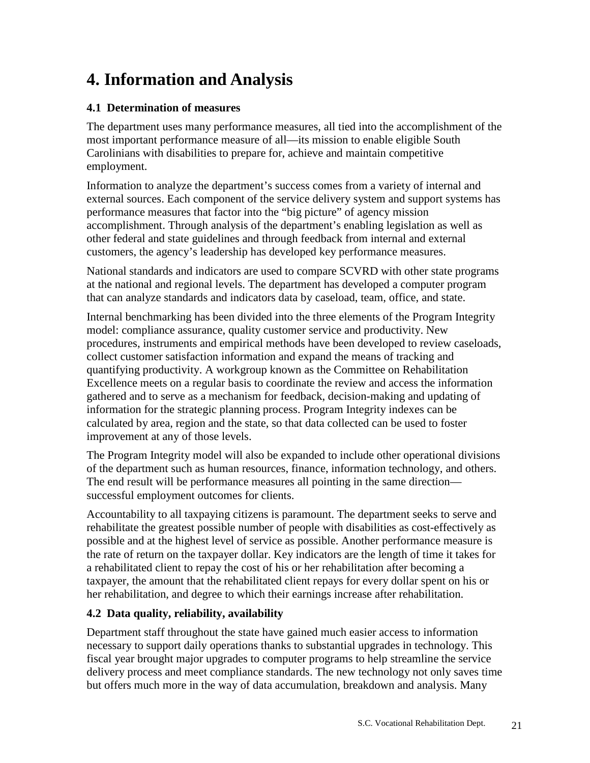# **4. Information and Analysis**

# **4.1 Determination of measures**

The department uses many performance measures, all tied into the accomplishment of the most important performance measure of all—its mission to enable eligible South Carolinians with disabilities to prepare for, achieve and maintain competitive employment.

Information to analyze the department's success comes from a variety of internal and external sources. Each component of the service delivery system and support systems has performance measures that factor into the "big picture" of agency mission accomplishment. Through analysis of the department's enabling legislation as well as other federal and state guidelines and through feedback from internal and external customers, the agency's leadership has developed key performance measures.

National standards and indicators are used to compare SCVRD with other state programs at the national and regional levels. The department has developed a computer program that can analyze standards and indicators data by caseload, team, office, and state.

Internal benchmarking has been divided into the three elements of the Program Integrity model: compliance assurance, quality customer service and productivity. New procedures, instruments and empirical methods have been developed to review caseloads, collect customer satisfaction information and expand the means of tracking and quantifying productivity. A workgroup known as the Committee on Rehabilitation Excellence meets on a regular basis to coordinate the review and access the information gathered and to serve as a mechanism for feedback, decision-making and updating of information for the strategic planning process. Program Integrity indexes can be calculated by area, region and the state, so that data collected can be used to foster improvement at any of those levels.

The Program Integrity model will also be expanded to include other operational divisions of the department such as human resources, finance, information technology, and others. The end result will be performance measures all pointing in the same direction successful employment outcomes for clients.

Accountability to all taxpaying citizens is paramount. The department seeks to serve and rehabilitate the greatest possible number of people with disabilities as cost-effectively as possible and at the highest level of service as possible. Another performance measure is the rate of return on the taxpayer dollar. Key indicators are the length of time it takes for a rehabilitated client to repay the cost of his or her rehabilitation after becoming a taxpayer, the amount that the rehabilitated client repays for every dollar spent on his or her rehabilitation, and degree to which their earnings increase after rehabilitation.

# **4.2 Data quality, reliability, availability**

Department staff throughout the state have gained much easier access to information necessary to support daily operations thanks to substantial upgrades in technology. This fiscal year brought major upgrades to computer programs to help streamline the service delivery process and meet compliance standards. The new technology not only saves time but offers much more in the way of data accumulation, breakdown and analysis. Many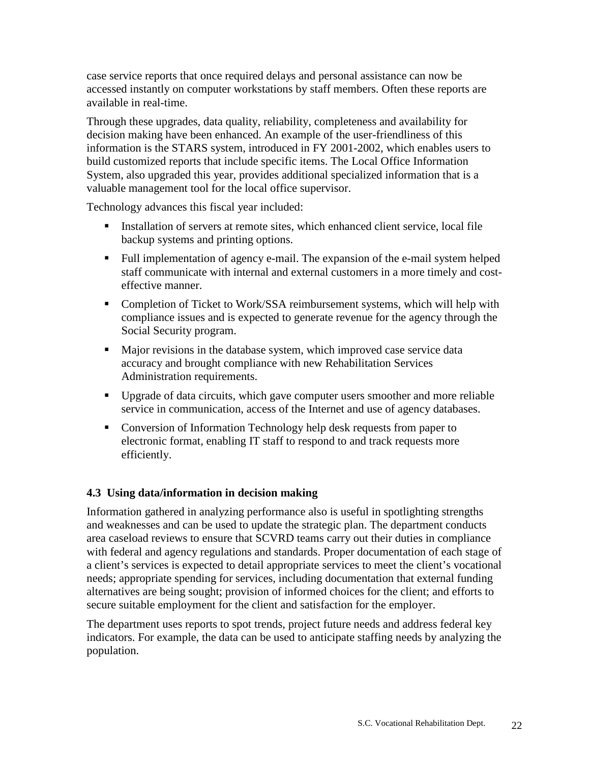case service reports that once required delays and personal assistance can now be accessed instantly on computer workstations by staff members. Often these reports are available in real-time.

Through these upgrades, data quality, reliability, completeness and availability for decision making have been enhanced. An example of the user-friendliness of this information is the STARS system, introduced in FY 2001-2002, which enables users to build customized reports that include specific items. The Local Office Information System, also upgraded this year, provides additional specialized information that is a valuable management tool for the local office supervisor.

Technology advances this fiscal year included:

- Installation of servers at remote sites, which enhanced client service, local file backup systems and printing options.
- Full implementation of agency e-mail. The expansion of the e-mail system helped staff communicate with internal and external customers in a more timely and costeffective manner.
- Completion of Ticket to Work/SSA reimbursement systems, which will help with compliance issues and is expected to generate revenue for the agency through the Social Security program.
- Major revisions in the database system, which improved case service data accuracy and brought compliance with new Rehabilitation Services Administration requirements.
- Upgrade of data circuits, which gave computer users smoother and more reliable service in communication, access of the Internet and use of agency databases.
- Conversion of Information Technology help desk requests from paper to electronic format, enabling IT staff to respond to and track requests more efficiently.

# **4.3 Using data/information in decision making**

Information gathered in analyzing performance also is useful in spotlighting strengths and weaknesses and can be used to update the strategic plan. The department conducts area caseload reviews to ensure that SCVRD teams carry out their duties in compliance with federal and agency regulations and standards. Proper documentation of each stage of a client's services is expected to detail appropriate services to meet the client's vocational needs; appropriate spending for services, including documentation that external funding alternatives are being sought; provision of informed choices for the client; and efforts to secure suitable employment for the client and satisfaction for the employer.

The department uses reports to spot trends, project future needs and address federal key indicators. For example, the data can be used to anticipate staffing needs by analyzing the population.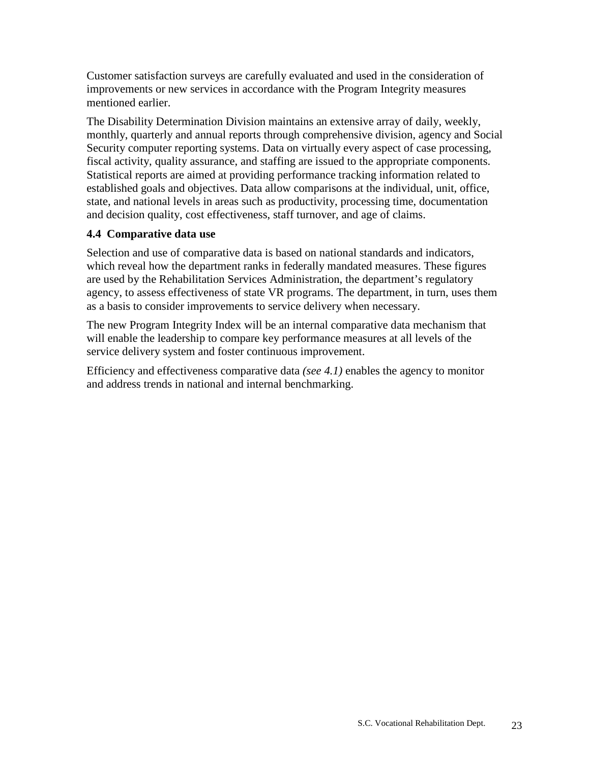Customer satisfaction surveys are carefully evaluated and used in the consideration of improvements or new services in accordance with the Program Integrity measures mentioned earlier.

The Disability Determination Division maintains an extensive array of daily, weekly, monthly, quarterly and annual reports through comprehensive division, agency and Social Security computer reporting systems. Data on virtually every aspect of case processing, fiscal activity, quality assurance, and staffing are issued to the appropriate components. Statistical reports are aimed at providing performance tracking information related to established goals and objectives. Data allow comparisons at the individual, unit, office, state, and national levels in areas such as productivity, processing time, documentation and decision quality, cost effectiveness, staff turnover, and age of claims.

# **4.4 Comparative data use**

Selection and use of comparative data is based on national standards and indicators, which reveal how the department ranks in federally mandated measures. These figures are used by the Rehabilitation Services Administration, the department's regulatory agency, to assess effectiveness of state VR programs. The department, in turn, uses them as a basis to consider improvements to service delivery when necessary.

The new Program Integrity Index will be an internal comparative data mechanism that will enable the leadership to compare key performance measures at all levels of the service delivery system and foster continuous improvement.

Efficiency and effectiveness comparative data *(see 4.1)* enables the agency to monitor and address trends in national and internal benchmarking.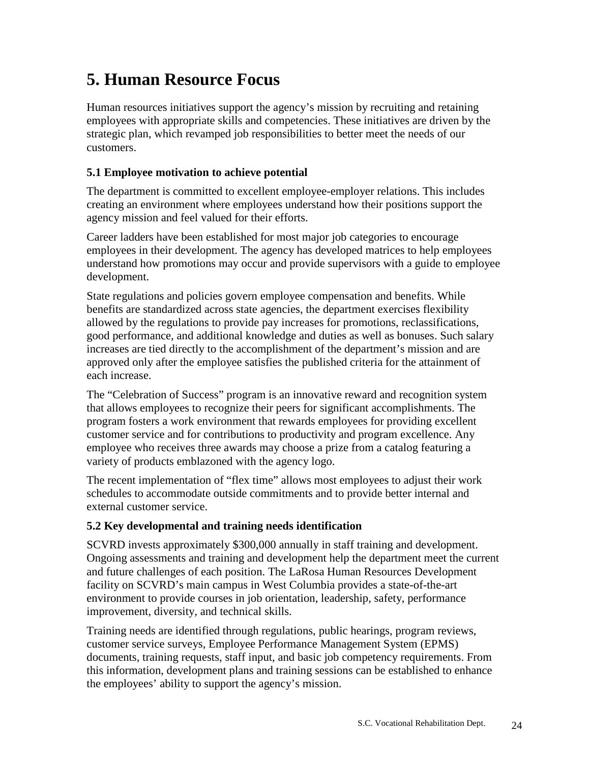# **5. Human Resource Focus**

Human resources initiatives support the agency's mission by recruiting and retaining employees with appropriate skills and competencies. These initiatives are driven by the strategic plan, which revamped job responsibilities to better meet the needs of our customers.

# **5.1 Employee motivation to achieve potential**

The department is committed to excellent employee-employer relations. This includes creating an environment where employees understand how their positions support the agency mission and feel valued for their efforts.

Career ladders have been established for most major job categories to encourage employees in their development. The agency has developed matrices to help employees understand how promotions may occur and provide supervisors with a guide to employee development.

State regulations and policies govern employee compensation and benefits. While benefits are standardized across state agencies, the department exercises flexibility allowed by the regulations to provide pay increases for promotions, reclassifications, good performance, and additional knowledge and duties as well as bonuses. Such salary increases are tied directly to the accomplishment of the department's mission and are approved only after the employee satisfies the published criteria for the attainment of each increase.

The "Celebration of Success" program is an innovative reward and recognition system that allows employees to recognize their peers for significant accomplishments. The program fosters a work environment that rewards employees for providing excellent customer service and for contributions to productivity and program excellence. Any employee who receives three awards may choose a prize from a catalog featuring a variety of products emblazoned with the agency logo.

The recent implementation of "flex time" allows most employees to adjust their work schedules to accommodate outside commitments and to provide better internal and external customer service.

# **5.2 Key developmental and training needs identification**

SCVRD invests approximately \$300,000 annually in staff training and development. Ongoing assessments and training and development help the department meet the current and future challenges of each position. The LaRosa Human Resources Development facility on SCVRD's main campus in West Columbia provides a state-of-the-art environment to provide courses in job orientation, leadership, safety, performance improvement, diversity, and technical skills.

Training needs are identified through regulations, public hearings, program reviews, customer service surveys, Employee Performance Management System (EPMS) documents, training requests, staff input, and basic job competency requirements. From this information, development plans and training sessions can be established to enhance the employees' ability to support the agency's mission.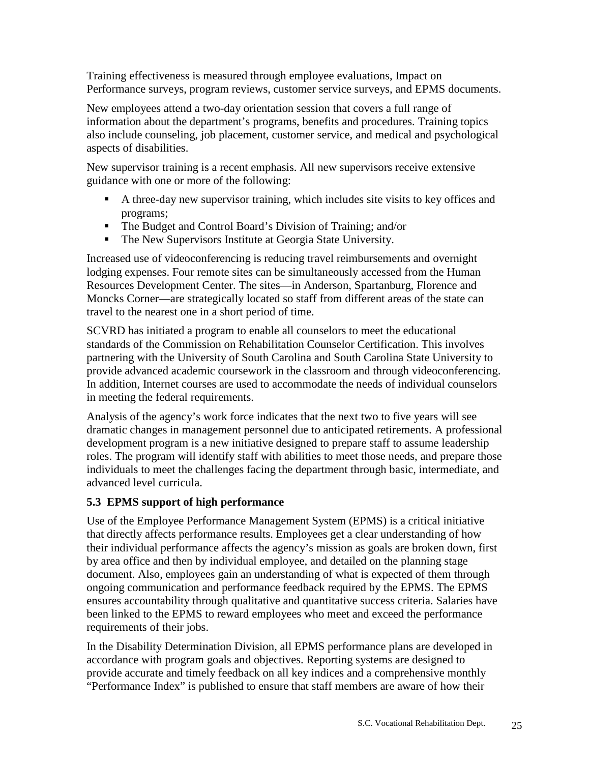Training effectiveness is measured through employee evaluations, Impact on Performance surveys, program reviews, customer service surveys, and EPMS documents.

New employees attend a two-day orientation session that covers a full range of information about the department's programs, benefits and procedures. Training topics also include counseling, job placement, customer service, and medical and psychological aspects of disabilities.

New supervisor training is a recent emphasis. All new supervisors receive extensive guidance with one or more of the following:

- A three-day new supervisor training, which includes site visits to key offices and programs;
- The Budget and Control Board's Division of Training; and/or
- The New Supervisors Institute at Georgia State University.

Increased use of videoconferencing is reducing travel reimbursements and overnight lodging expenses. Four remote sites can be simultaneously accessed from the Human Resources Development Center. The sites—in Anderson, Spartanburg, Florence and Moncks Corner—are strategically located so staff from different areas of the state can travel to the nearest one in a short period of time.

SCVRD has initiated a program to enable all counselors to meet the educational standards of the Commission on Rehabilitation Counselor Certification. This involves partnering with the University of South Carolina and South Carolina State University to provide advanced academic coursework in the classroom and through videoconferencing. In addition, Internet courses are used to accommodate the needs of individual counselors in meeting the federal requirements.

Analysis of the agency's work force indicates that the next two to five years will see dramatic changes in management personnel due to anticipated retirements. A professional development program is a new initiative designed to prepare staff to assume leadership roles. The program will identify staff with abilities to meet those needs, and prepare those individuals to meet the challenges facing the department through basic, intermediate, and advanced level curricula.

# **5.3 EPMS support of high performance**

Use of the Employee Performance Management System (EPMS) is a critical initiative that directly affects performance results. Employees get a clear understanding of how their individual performance affects the agency's mission as goals are broken down, first by area office and then by individual employee, and detailed on the planning stage document. Also, employees gain an understanding of what is expected of them through ongoing communication and performance feedback required by the EPMS. The EPMS ensures accountability through qualitative and quantitative success criteria. Salaries have been linked to the EPMS to reward employees who meet and exceed the performance requirements of their jobs.

In the Disability Determination Division, all EPMS performance plans are developed in accordance with program goals and objectives. Reporting systems are designed to provide accurate and timely feedback on all key indices and a comprehensive monthly "Performance Index" is published to ensure that staff members are aware of how their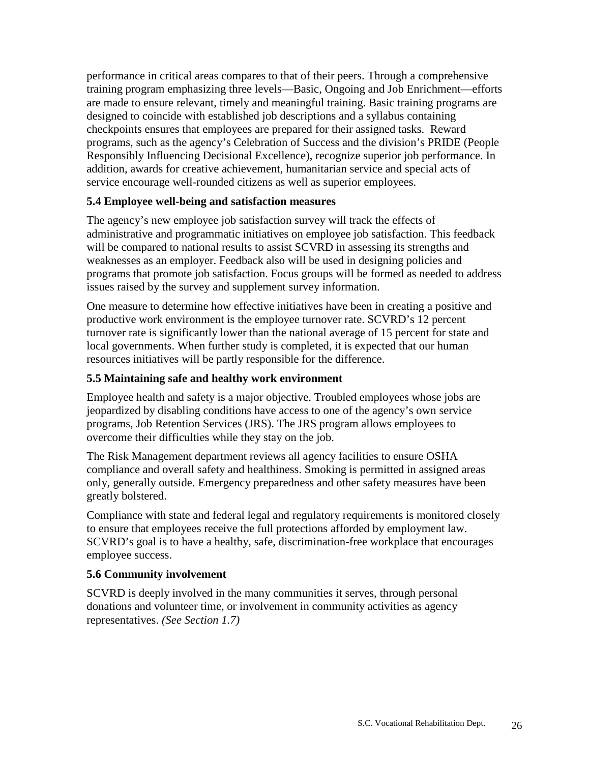performance in critical areas compares to that of their peers. Through a comprehensive training program emphasizing three levels—Basic, Ongoing and Job Enrichment—efforts are made to ensure relevant, timely and meaningful training. Basic training programs are designed to coincide with established job descriptions and a syllabus containing checkpoints ensures that employees are prepared for their assigned tasks. Reward programs, such as the agency's Celebration of Success and the division's PRIDE (People Responsibly Influencing Decisional Excellence), recognize superior job performance. In addition, awards for creative achievement, humanitarian service and special acts of service encourage well-rounded citizens as well as superior employees.

# **5.4 Employee well-being and satisfaction measures**

The agency's new employee job satisfaction survey will track the effects of administrative and programmatic initiatives on employee job satisfaction. This feedback will be compared to national results to assist SCVRD in assessing its strengths and weaknesses as an employer. Feedback also will be used in designing policies and programs that promote job satisfaction. Focus groups will be formed as needed to address issues raised by the survey and supplement survey information.

One measure to determine how effective initiatives have been in creating a positive and productive work environment is the employee turnover rate. SCVRD's 12 percent turnover rate is significantly lower than the national average of 15 percent for state and local governments. When further study is completed, it is expected that our human resources initiatives will be partly responsible for the difference.

# **5.5 Maintaining safe and healthy work environment**

Employee health and safety is a major objective. Troubled employees whose jobs are jeopardized by disabling conditions have access to one of the agency's own service programs, Job Retention Services (JRS). The JRS program allows employees to overcome their difficulties while they stay on the job.

The Risk Management department reviews all agency facilities to ensure OSHA compliance and overall safety and healthiness. Smoking is permitted in assigned areas only, generally outside. Emergency preparedness and other safety measures have been greatly bolstered.

Compliance with state and federal legal and regulatory requirements is monitored closely to ensure that employees receive the full protections afforded by employment law. SCVRD's goal is to have a healthy, safe, discrimination-free workplace that encourages employee success.

# **5.6 Community involvement**

SCVRD is deeply involved in the many communities it serves, through personal donations and volunteer time, or involvement in community activities as agency representatives. *(See Section 1.7)*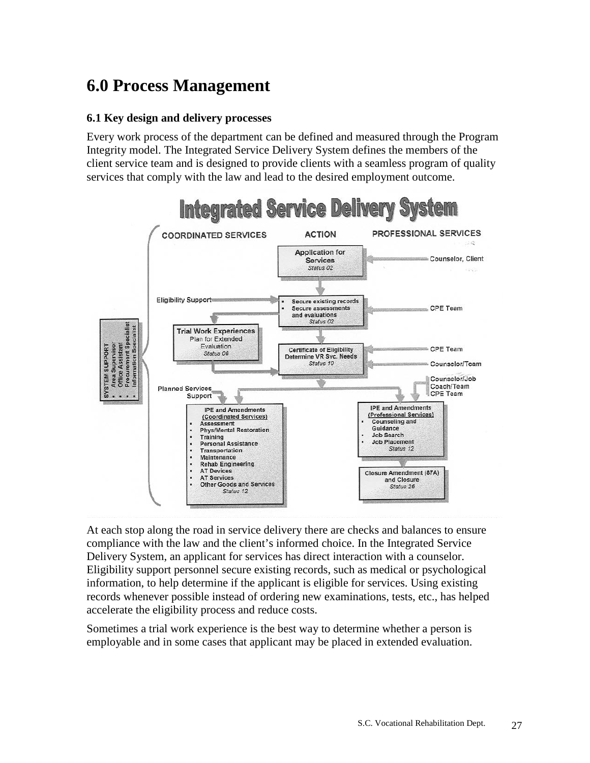# **6.0 Process Management**

#### **6.1 Key design and delivery processes**

Every work process of the department can be defined and measured through the Program Integrity model. The Integrated Service Delivery System defines the members of the client service team and is designed to provide clients with a seamless program of quality services that comply with the law and lead to the desired employment outcome.



At each stop along the road in service delivery there are checks and balances to ensure compliance with the law and the client's informed choice. In the Integrated Service Delivery System, an applicant for services has direct interaction with a counselor. Eligibility support personnel secure existing records, such as medical or psychological information, to help determine if the applicant is eligible for services. Using existing records whenever possible instead of ordering new examinations, tests, etc., has helped accelerate the eligibility process and reduce costs.

Sometimes a trial work experience is the best way to determine whether a person is employable and in some cases that applicant may be placed in extended evaluation.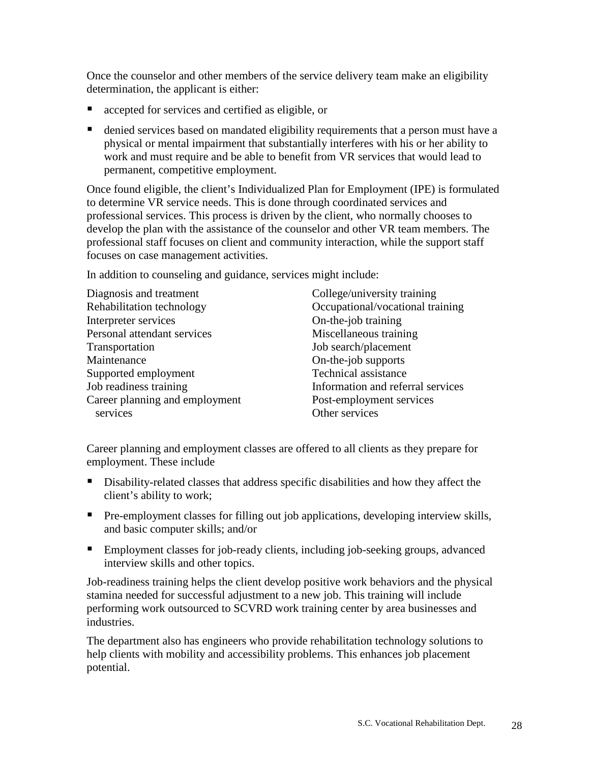Once the counselor and other members of the service delivery team make an eligibility determination, the applicant is either:

- accepted for services and certified as eligible, or
- denied services based on mandated eligibility requirements that a person must have a physical or mental impairment that substantially interferes with his or her ability to work and must require and be able to benefit from VR services that would lead to permanent, competitive employment.

Once found eligible, the client's Individualized Plan for Employment (IPE) is formulated to determine VR service needs. This is done through coordinated services and professional services. This process is driven by the client, who normally chooses to develop the plan with the assistance of the counselor and other VR team members. The professional staff focuses on client and community interaction, while the support staff focuses on case management activities.

In addition to counseling and guidance, services might include:

| Diagnosis and treatment        | College/university training       |
|--------------------------------|-----------------------------------|
| Rehabilitation technology      | Occupational/vocational training  |
| Interpreter services           | On-the-job training               |
| Personal attendant services    | Miscellaneous training            |
| Transportation                 | Job search/placement              |
| Maintenance                    | On-the-job supports               |
| Supported employment           | Technical assistance              |
| Job readiness training         | Information and referral services |
| Career planning and employment | Post-employment services          |
| services                       | Other services                    |

Career planning and employment classes are offered to all clients as they prepare for employment. These include

- Disability-related classes that address specific disabilities and how they affect the client's ability to work;
- Pre-employment classes for filling out job applications, developing interview skills, and basic computer skills; and/or
- Employment classes for job-ready clients, including job-seeking groups, advanced interview skills and other topics.

Job-readiness training helps the client develop positive work behaviors and the physical stamina needed for successful adjustment to a new job. This training will include performing work outsourced to SCVRD work training center by area businesses and industries.

The department also has engineers who provide rehabilitation technology solutions to help clients with mobility and accessibility problems. This enhances job placement potential.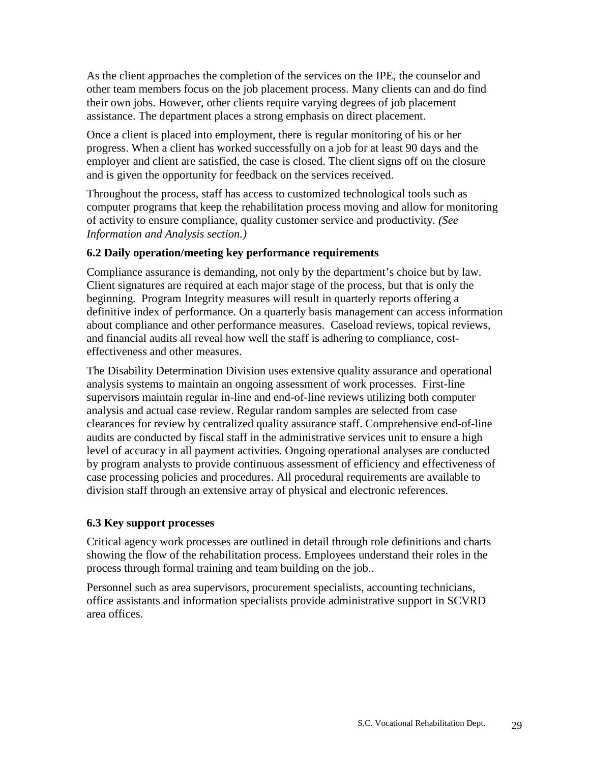As the client approaches the completion of the services on the IPE, the counselor and other team members focus on the job placement process. Many clients can and do find their own jobs. However, other clients require varying degrees of job placement assistance. The department places a strong emphasis on direct placement.

Once a client is placed into employment, there is regular monitoring of his or her progress. When a client has worked successfully on a job for at least 90 days and the employer and client are satisfied, the case is closed. The client signs off on the closure and is given the opportunity for feedback on the services received.

Throughout the process, staff has access to customized technological tools such as computer programs that keep the rehabilitation process moving and allow for monitoring of activity to ensure compliance, quality customer service and productivity. *(See Information and Analysis section.)*

# **6.2 Daily operation/meeting key performance requirements**

Compliance assurance is demanding, not only by the department's choice but by law. Client signatures are required at each major stage of the process, but that is only the beginning. Program Integrity measures will result in quarterly reports offering a definitive index of performance. On a quarterly basis management can access information about compliance and other performance measures. Caseload reviews, topical reviews, and financial audits all reveal how well the staff is adhering to compliance, costeffectiveness and other measures.

The Disability Determination Division uses extensive quality assurance and operational analysis systems to maintain an ongoing assessment of work processes. First-line supervisors maintain regular in-line and end-of-line reviews utilizing both computer analysis and actual case review. Regular random samples are selected from case clearances for review by centralized quality assurance staff. Comprehensive end-of-line audits are conducted by fiscal staff in the administrative services unit to ensure a high level of accuracy in all payment activities. Ongoing operational analyses are conducted by program analysts to provide continuous assessment of efficiency and effectiveness of case processing policies and procedures. All procedural requirements are available to division staff through an extensive array of physical and electronic references.

# **6.3 Key support processes**

Critical agency work processes are outlined in detail through role definitions and charts showing the flow of the rehabilitation process. Employees understand their roles in the process through formal training and team building on the job..

Personnel such as area supervisors, procurement specialists, accounting technicians, office assistants and information specialists provide administrative support in SCVRD area offices.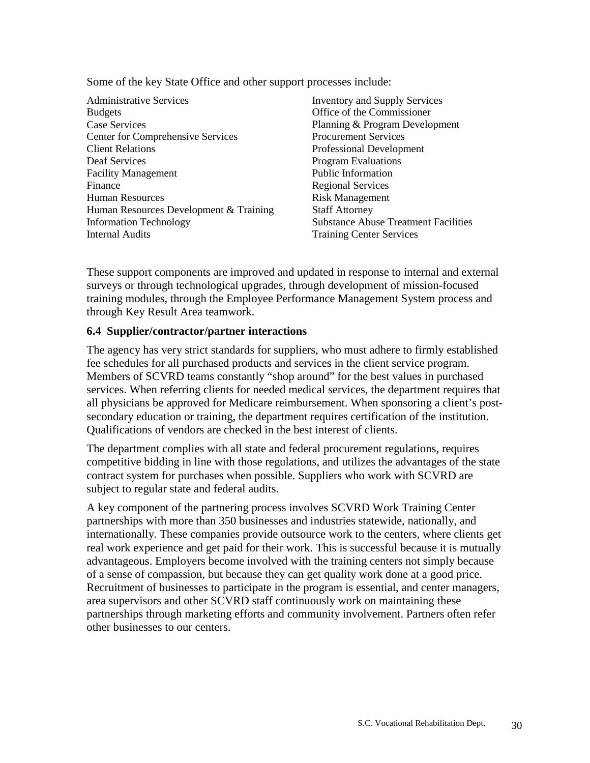Some of the key State Office and other support processes include:

Administrative Services Budgets Case Services Center for Comprehensive Services Client Relations Deaf Services Facility Management Finance Human Resources Human Resources Development & Training Information Technology Internal Audits

Inventory and Supply Services Office of the Commissioner Planning & Program Development Procurement Services Professional Development Program Evaluations Public Information Regional Services Risk Management Staff Attorney Substance Abuse Treatment Facilities Training Center Services

These support components are improved and updated in response to internal and external surveys or through technological upgrades, through development of mission-focused training modules, through the Employee Performance Management System process and through Key Result Area teamwork.

# **6.4 Supplier/contractor/partner interactions**

The agency has very strict standards for suppliers, who must adhere to firmly established fee schedules for all purchased products and services in the client service program. Members of SCVRD teams constantly "shop around" for the best values in purchased services. When referring clients for needed medical services, the department requires that all physicians be approved for Medicare reimbursement. When sponsoring a client's postsecondary education or training, the department requires certification of the institution. Qualifications of vendors are checked in the best interest of clients.

The department complies with all state and federal procurement regulations, requires competitive bidding in line with those regulations, and utilizes the advantages of the state contract system for purchases when possible. Suppliers who work with SCVRD are subject to regular state and federal audits.

A key component of the partnering process involves SCVRD Work Training Center partnerships with more than 350 businesses and industries statewide, nationally, and internationally. These companies provide outsource work to the centers, where clients get real work experience and get paid for their work. This is successful because it is mutually advantageous. Employers become involved with the training centers not simply because of a sense of compassion, but because they can get quality work done at a good price. Recruitment of businesses to participate in the program is essential, and center managers, area supervisors and other SCVRD staff continuously work on maintaining these partnerships through marketing efforts and community involvement. Partners often refer other businesses to our centers.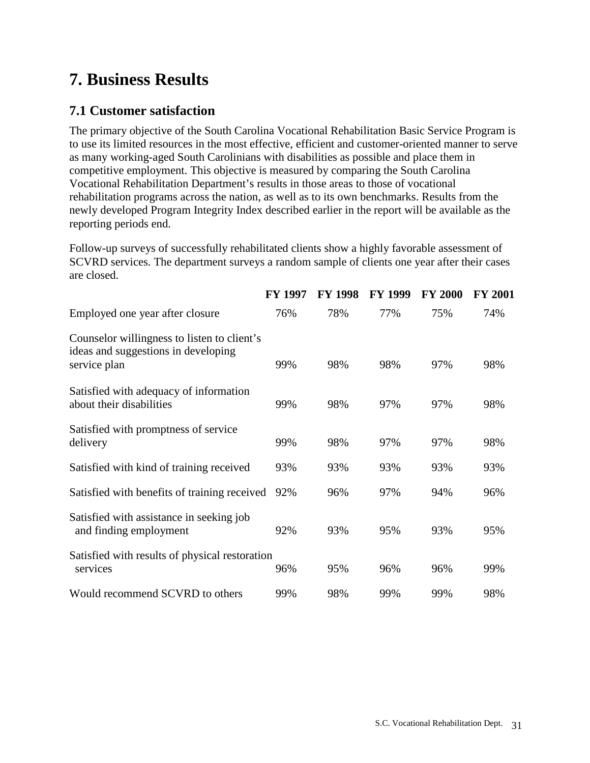# **7. Business Results**

# **7.1 Customer satisfaction**

The primary objective of the South Carolina Vocational Rehabilitation Basic Service Program is to use its limited resources in the most effective, efficient and customer-oriented manner to serve as many working-aged South Carolinians with disabilities as possible and place them in competitive employment. This objective is measured by comparing the South Carolina Vocational Rehabilitation Department's results in those areas to those of vocational rehabilitation programs across the nation, as well as to its own benchmarks. Results from the newly developed Program Integrity Index described earlier in the report will be available as the reporting periods end.

Follow-up surveys of successfully rehabilitated clients show a highly favorable assessment of SCVRD services. The department surveys a random sample of clients one year after their cases are closed.

|                                                                                                    | <b>FY 1997</b> | <b>FY 1998</b> | <b>FY 1999</b> | <b>FY 2000</b> | <b>FY 2001</b> |
|----------------------------------------------------------------------------------------------------|----------------|----------------|----------------|----------------|----------------|
| Employed one year after closure                                                                    | 76%            | 78%            | 77%            | 75%            | 74%            |
| Counselor willingness to listen to client's<br>ideas and suggestions in developing<br>service plan | 99%            | 98%            | 98%            | 97%            | 98%            |
| Satisfied with adequacy of information<br>about their disabilities                                 | 99%            | 98%            | 97%            | 97%            | 98%            |
| Satisfied with promptness of service<br>delivery                                                   | 99%            | 98%            | 97%            | 97%            | 98%            |
| Satisfied with kind of training received                                                           | 93%            | 93%            | 93%            | 93%            | 93%            |
| Satisfied with benefits of training received                                                       | 92%            | 96%            | 97%            | 94%            | 96%            |
| Satisfied with assistance in seeking job<br>and finding employment                                 | 92%            | 93%            | 95%            | 93%            | 95%            |
| Satisfied with results of physical restoration<br>services                                         | 96%            | 95%            | 96%            | 96%            | 99%            |
| Would recommend SCVRD to others                                                                    | 99%            | 98%            | 99%            | 99%            | 98%            |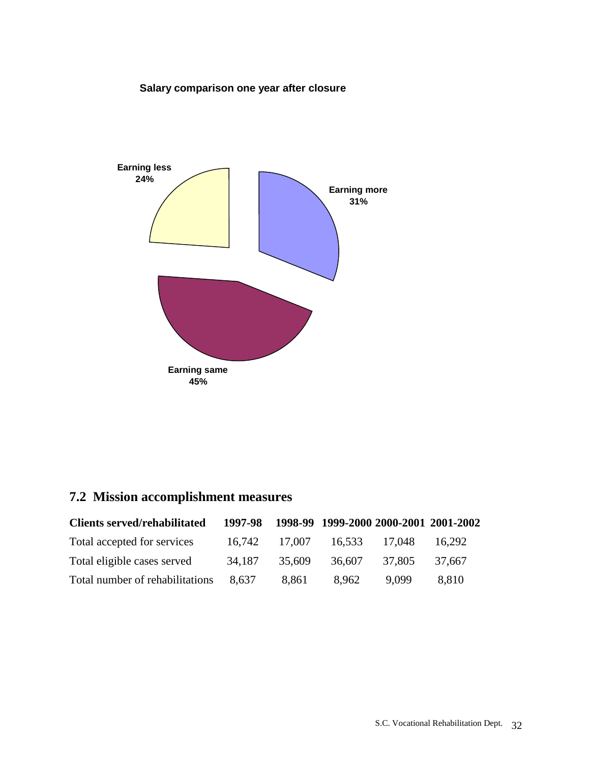# **Salary comparison one year after closure**



# **7.2 Mission accomplishment measures**

| <b>Clients served/rehabilitated</b> | 1997-98 |        | 1998-99 1999-2000 2000-2001 2001-2002 |        |        |
|-------------------------------------|---------|--------|---------------------------------------|--------|--------|
| Total accepted for services         | 16.742  | 17.007 | 16.533                                | 17.048 | 16.292 |
| Total eligible cases served         | 34.187  | 35.609 | 36,607                                | 37.805 | 37.667 |
| Total number of rehabilitations     | 8.637   | 8,861  | 8.962                                 | 9.099  | 8.810  |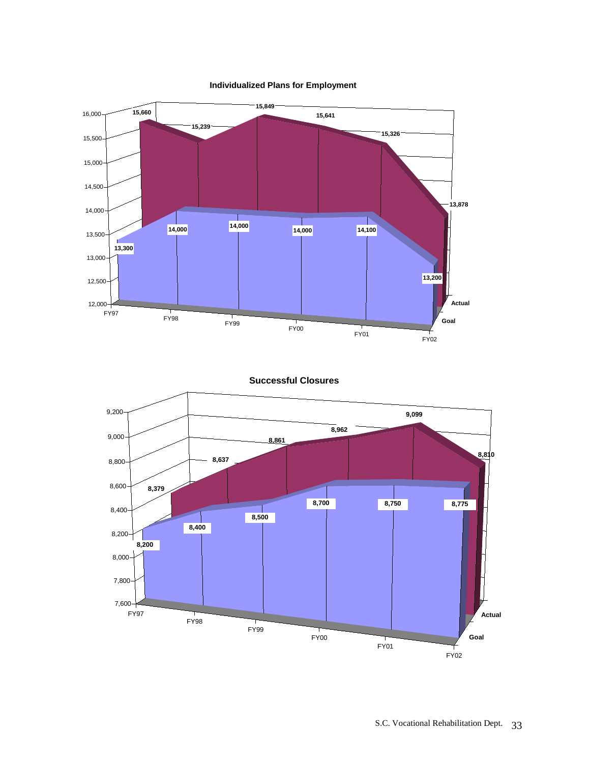**Individualized Plans for Employment**



**Successful Closures**

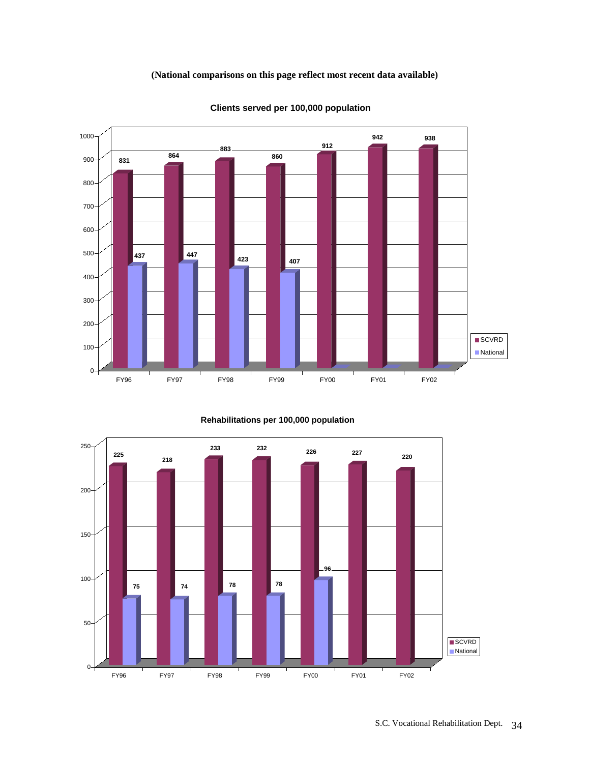#### **(National comparisons on this page reflect most recent data available)**



**Clients served per 100,000 population**

**Rehabilitations per 100,000 population**

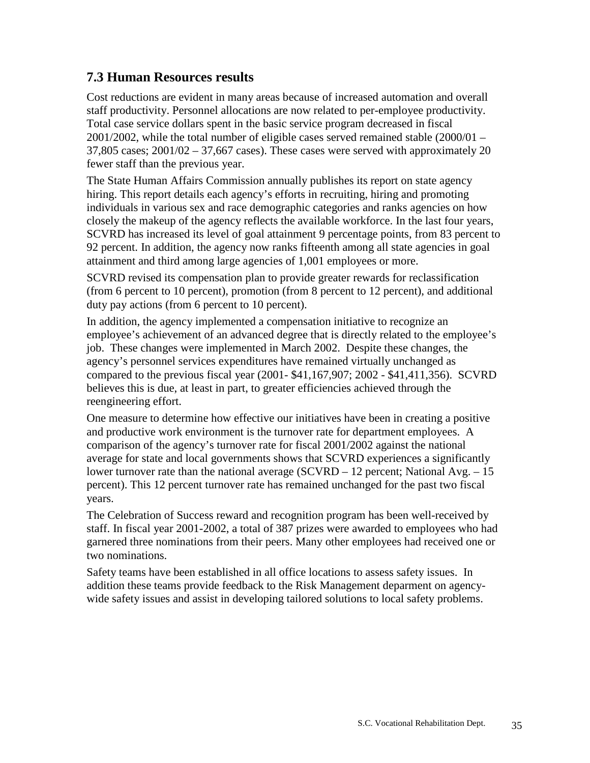# **7.3 Human Resources results**

Cost reductions are evident in many areas because of increased automation and overall staff productivity. Personnel allocations are now related to per-employee productivity. Total case service dollars spent in the basic service program decreased in fiscal  $2001/2002$ , while the total number of eligible cases served remained stable  $(2000/01 37,805$  cases;  $2001/02 - 37,667$  cases). These cases were served with approximately 20 fewer staff than the previous year.

The State Human Affairs Commission annually publishes its report on state agency hiring. This report details each agency's efforts in recruiting, hiring and promoting individuals in various sex and race demographic categories and ranks agencies on how closely the makeup of the agency reflects the available workforce. In the last four years, SCVRD has increased its level of goal attainment 9 percentage points, from 83 percent to 92 percent. In addition, the agency now ranks fifteenth among all state agencies in goal attainment and third among large agencies of 1,001 employees or more.

SCVRD revised its compensation plan to provide greater rewards for reclassification (from 6 percent to 10 percent), promotion (from 8 percent to 12 percent), and additional duty pay actions (from 6 percent to 10 percent).

In addition, the agency implemented a compensation initiative to recognize an employee's achievement of an advanced degree that is directly related to the employee's job. These changes were implemented in March 2002. Despite these changes, the agency's personnel services expenditures have remained virtually unchanged as compared to the previous fiscal year (2001- \$41,167,907; 2002 - \$41,411,356). SCVRD believes this is due, at least in part, to greater efficiencies achieved through the reengineering effort.

One measure to determine how effective our initiatives have been in creating a positive and productive work environment is the turnover rate for department employees. A comparison of the agency's turnover rate for fiscal 2001/2002 against the national average for state and local governments shows that SCVRD experiences a significantly lower turnover rate than the national average (SCVRD – 12 percent; National Avg. – 15 percent). This 12 percent turnover rate has remained unchanged for the past two fiscal years.

The Celebration of Success reward and recognition program has been well-received by staff. In fiscal year 2001-2002, a total of 387 prizes were awarded to employees who had garnered three nominations from their peers. Many other employees had received one or two nominations.

Safety teams have been established in all office locations to assess safety issues. In addition these teams provide feedback to the Risk Management deparment on agencywide safety issues and assist in developing tailored solutions to local safety problems.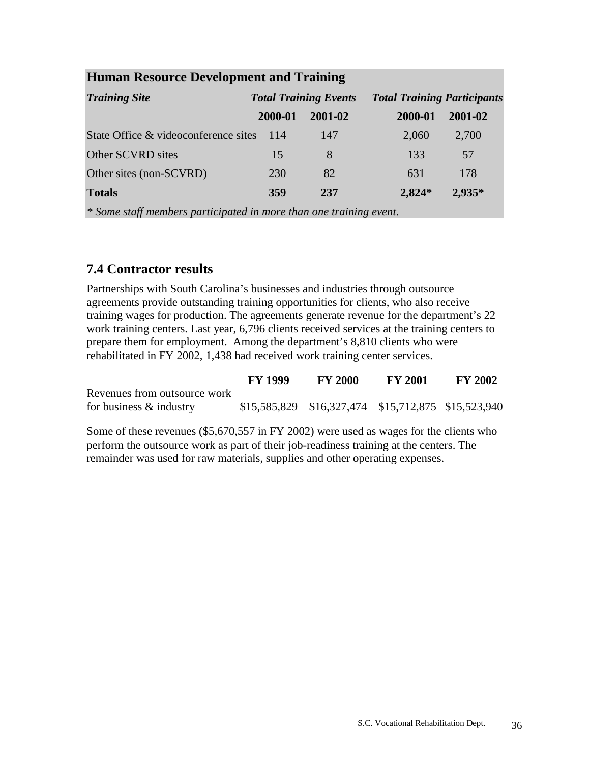| <b>Truman Resource Development and Training</b> |                              |         |                                    |          |  |  |
|-------------------------------------------------|------------------------------|---------|------------------------------------|----------|--|--|
| <b>Training Site</b>                            | <b>Total Training Events</b> |         | <b>Total Training Participants</b> |          |  |  |
|                                                 | 2000-01                      | 2001-02 | 2000-01                            | 2001-02  |  |  |
| State Office & videoconference sites            | -114                         | 147     | 2,060                              | 2,700    |  |  |
| Other SCVRD sites                               | 15                           | 8       | 133                                | 57       |  |  |
| Other sites (non-SCVRD)                         | 230                          | 82      | 631                                | 178      |  |  |
| <b>Totals</b>                                   | 359                          | 237     | $2,824*$                           | $2,935*$ |  |  |

# **Human Resource Development and Training**

*\* Some staff members participated in more than one training event*.

# **7.4 Contractor results**

Partnerships with South Carolina's businesses and industries through outsource agreements provide outstanding training opportunities for clients, who also receive training wages for production. The agreements generate revenue for the department's 22 work training centers. Last year, 6,796 clients received services at the training centers to prepare them for employment. Among the department's 8,810 clients who were rehabilitated in FY 2002, 1,438 had received work training center services.

|                              | <b>FY 1999</b> | <b>FY 2000</b>                                      | <b>FY 2001</b> | <b>FY 2002</b> |
|------------------------------|----------------|-----------------------------------------------------|----------------|----------------|
| Revenues from outsource work |                |                                                     |                |                |
| for business $\&$ industry   |                | \$15,585,829 \$16,327,474 \$15,712,875 \$15,523,940 |                |                |

Some of these revenues (\$5,670,557 in FY 2002) were used as wages for the clients who perform the outsource work as part of their job-readiness training at the centers. The remainder was used for raw materials, supplies and other operating expenses.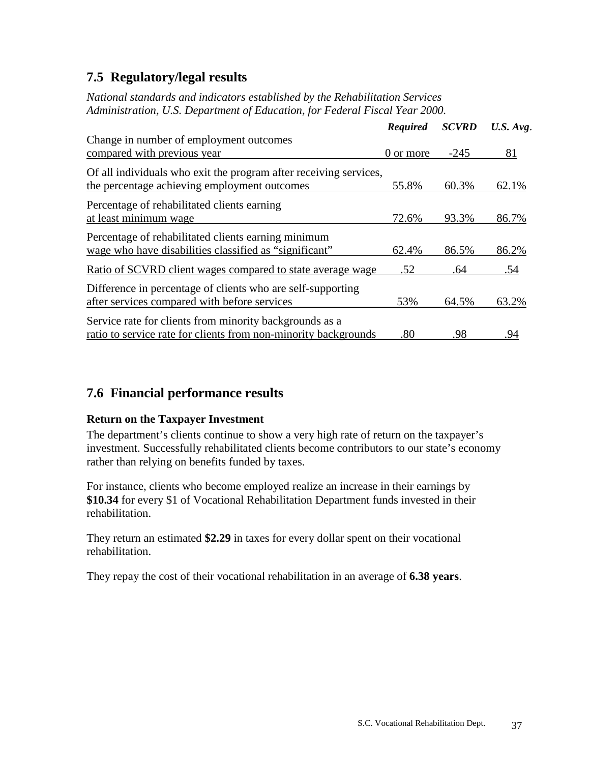# **7.5 Regulatory/legal results**

*National standards and indicators established by the Rehabilitation Services Administration, U.S. Department of Education, for Federal Fiscal Year 2000.*

|                                                                                                                            | <b>Required</b> | <b>SCVRD</b> | $U.S.$ Avg. |
|----------------------------------------------------------------------------------------------------------------------------|-----------------|--------------|-------------|
| Change in number of employment outcomes<br>compared with previous year                                                     | 0 or more       | $-245$       | 81          |
| Of all individuals who exit the program after receiving services,<br>the percentage achieving employment outcomes          | 55.8%           | 60.3%        | 62.1%       |
| Percentage of rehabilitated clients earning<br>at least minimum wage                                                       | 72.6%           | 93.3%        | 86.7%       |
| Percentage of rehabilitated clients earning minimum<br>wage who have disabilities classified as "significant"              | 62.4%           | 86.5%        | 86.2%       |
| Ratio of SCVRD client wages compared to state average wage                                                                 | .52             | .64          | .54         |
| Difference in percentage of clients who are self-supporting<br>after services compared with before services                | 53%             | 64.5%        | 63.2%       |
| Service rate for clients from minority backgrounds as a<br>ratio to service rate for clients from non-minority backgrounds | .80             | .98          | .94         |

# **7.6 Financial performance results**

# **Return on the Taxpayer Investment**

The department's clients continue to show a very high rate of return on the taxpayer's investment. Successfully rehabilitated clients become contributors to our state's economy rather than relying on benefits funded by taxes.

For instance, clients who become employed realize an increase in their earnings by **\$10.34** for every \$1 of Vocational Rehabilitation Department funds invested in their rehabilitation.

They return an estimated **\$2.29** in taxes for every dollar spent on their vocational rehabilitation.

They repay the cost of their vocational rehabilitation in an average of **6.38 years**.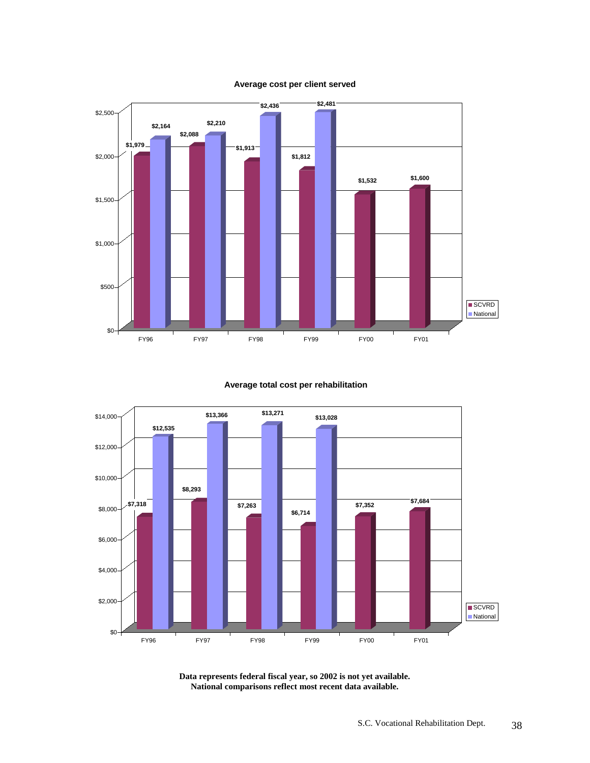

#### **Average cost per client served**

#### **Average total cost per rehabilitation**



**Data represents federal fiscal year, so 2002 is not yet available. National comparisons reflect most recent data available.**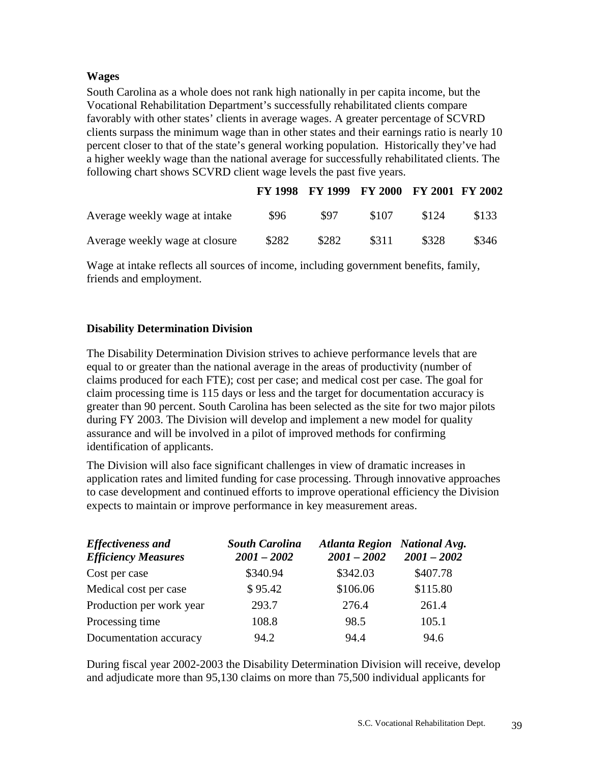#### **Wages**

South Carolina as a whole does not rank high nationally in per capita income, but the Vocational Rehabilitation Department's successfully rehabilitated clients compare favorably with other states' clients in average wages. A greater percentage of SCVRD clients surpass the minimum wage than in other states and their earnings ratio is nearly 10 percent closer to that of the state's general working population. Historically they've had a higher weekly wage than the national average for successfully rehabilitated clients. The following chart shows SCVRD client wage levels the past five years.

|                                |       |       | FY 1998 FY 1999 FY 2000 FY 2001 FY 2002 |       |       |
|--------------------------------|-------|-------|-----------------------------------------|-------|-------|
| Average weekly wage at intake  | \$96  | \$97  | \$107                                   | \$124 | \$133 |
| Average weekly wage at closure | \$282 | \$282 | \$311                                   | \$328 | \$346 |

Wage at intake reflects all sources of income, including government benefits, family, friends and employment.

# **Disability Determination Division**

The Disability Determination Division strives to achieve performance levels that are equal to or greater than the national average in the areas of productivity (number of claims produced for each FTE); cost per case; and medical cost per case. The goal for claim processing time is 115 days or less and the target for documentation accuracy is greater than 90 percent. South Carolina has been selected as the site for two major pilots during FY 2003. The Division will develop and implement a new model for quality assurance and will be involved in a pilot of improved methods for confirming identification of applicants.

The Division will also face significant challenges in view of dramatic increases in application rates and limited funding for case processing. Through innovative approaches to case development and continued efforts to improve operational efficiency the Division expects to maintain or improve performance in key measurement areas.

| <b>Effectiveness and</b><br><b>Efficiency Measures</b> | <b>South Carolina</b><br>$2001 - 2002$ | Atlanta Region National Avg.<br>$2001 - 2002$ | $2001 - 2002$ |
|--------------------------------------------------------|----------------------------------------|-----------------------------------------------|---------------|
| Cost per case                                          | \$340.94                               | \$342.03                                      | \$407.78      |
| Medical cost per case                                  | \$95.42                                | \$106.06                                      | \$115.80      |
| Production per work year                               | 293.7                                  | 276.4                                         | 261.4         |
| Processing time                                        | 108.8                                  | 98.5                                          | 105.1         |
| Documentation accuracy                                 | 94.2                                   | 94.4                                          | 94.6          |

During fiscal year 2002-2003 the Disability Determination Division will receive, develop and adjudicate more than 95,130 claims on more than 75,500 individual applicants for